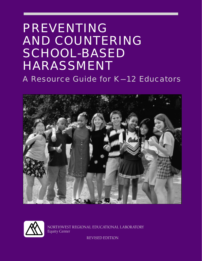# PREVENTING AND COUNTERING SCHOOL-BASED HARASSMENT

A Resource Guide for K-12 Educators





NORTHWEST REGIONAL EDUCATIONAL LABORATORY Equity Center

REVISED EDITION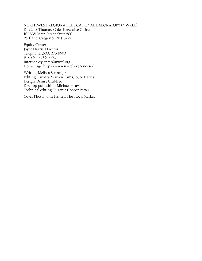NORTHWEST REGIONAL EDUCATIONAL LABORATORY (NWREL) Dr. Carol Thomas, Chief Executive Officer 101 S.W. Main Street, Suite 500 Portland, Oregon 97204-3297

Equity Center Joyce Harris, Director Telephone: (503) 275-9603 Fax: (503) 275-0452 Internet[: eqcenter@nwrel.org](mailto:eqcenter@nwrel.org) Home Page: <http://www.nwrel.org/cnorse/>

Writing: Melissa Steineger Editing: Barbara Warren-Sams, Joyce Harris Design: Denise Crabtree Desktop publishing: Michael Heavener Technical editing: Eugenia Cooper Potter

Cover Photo: John Henley, The Stock Market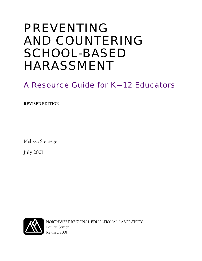# PREVENTING AND COUNTERING SCHOOL-BASED HARASSMENT

# A Resource Guide for K-12 Educators

**REVISED EDITION**

Melissa Steineger

July 2001



NORTHWEST REGIONAL EDUCATIONAL LABORATORY Equity Center Revised 2001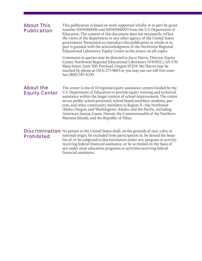| <b>About This</b><br><b>Publication</b>  | This publication is based on work supported wholly or in part by grant<br>number S004D60006 and S004D990005 from the U.S. Department of<br>Education. The content of this document does not necessarily reflect<br>the views of the department or any other agency of the United States<br>government. Permission to reproduce this publication in whole or in<br>part is granted with the acknowledgment of the Northwest Regional<br>Educational Laboratory Equity Center as the source on all copies.                                                   |
|------------------------------------------|------------------------------------------------------------------------------------------------------------------------------------------------------------------------------------------------------------------------------------------------------------------------------------------------------------------------------------------------------------------------------------------------------------------------------------------------------------------------------------------------------------------------------------------------------------|
|                                          | Comments or queries may be directed to Joyce Harris, Director, Equity<br>Center, Northwest Regional Educational Laboratory (NWREL), 101 S.W.<br>Main Street, Suite 500, Portland, Oregon 97204. Ms. Harris may be<br>reached by phone at (503) 275-9603 or you may use our toll-free num-<br>ber, (800) 547-6339.                                                                                                                                                                                                                                          |
| <b>About the</b><br><b>Equity Center</b> | The center is one of 10 regional equity assistance centers funded by the<br>U.S. Department of Education to provide equity training and technical<br>assistance within the larger context of school improvement. The center<br>serves public school personnel, school board members, students, par-<br>ents, and other community members in Region X-the Northwest<br>(Idaho, Oregon, and Washington), Alaska, and the Pacific, including<br>American Samoa, Guam, Hawaii, the Commonwealth of the Northern<br>Mariana Islands, and the Republic of Palau. |
| <b>Prohibited</b>                        | <b>Discrimination</b> No person in the United States shall, on the grounds of race, color, or<br>national origin, be excluded from participation in, be denied the bene-<br>fits of, or be subjected to discrimination under any program or activity<br>receiving federal financial assistance, or be so treated on the basis of<br>sex under most education programs or activities receiving federal<br>financial assistance.                                                                                                                             |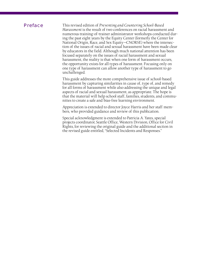### Preface

This revised edition of *Preventing and Countering School-Based Harassment* is the result of two conferences on racial harassment and numerous training-of-trainer administrator workshops conducted during the past eight years by the Equity Center (formerly the Center for National Origin, Race, and Sex Equity—CNORSE) where the intersection of the issues of racial and sexual harassment have been made clear by educators in the field. Although much national attention has been focused separately on the issues of racial harassment and sexual harassment, the reality is that when one form of harassment occurs, the opportunity exists for all types of harassment. Focusing only on one type of harassment can allow another type of harassment to go unchallenged.

This guide addresses the more comprehensive issue of school-based harassment by capturing similarities in cause of, type of, and remedy for all forms of harassment while also addressing the unique and legal aspects of racial and sexual harassment, as appropriate. The hope is that the material will help school staff, families, students, and communities to create a safe and bias-free learning environment.

Appreciation is extended to director Joyce Harris and her staff members, who provided guidance and review of this publication.

Special acknowledgment is extended to Patricia A. Yates, special projects coordinator, Seattle Office, Western Division, Office for Civil Rights, for reviewing the original guide and the additional section in the revised guide entitled, "Selected Incidents and Responses."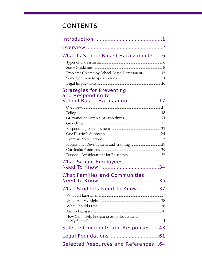# **CONTENTS**

| <b>What Is School-Based Harassment?6</b>    |
|---------------------------------------------|
|                                             |
|                                             |
|                                             |
|                                             |
| <b>Strategies for Preventing</b>            |
| and Responding to                           |
| School-Based Harassment 17                  |
|                                             |
|                                             |
|                                             |
|                                             |
|                                             |
|                                             |
|                                             |
|                                             |
|                                             |
| <b>What School Employees</b>                |
|                                             |
| <b>What Families and Communities</b>        |
|                                             |
| What Students Need To Know37                |
|                                             |
|                                             |
|                                             |
| How Can I Help Prevent or Stop Harassment   |
|                                             |
| <b>Selected Incidents and Responses 43</b>  |
|                                             |
| <b>Selected Resources and References 64</b> |
|                                             |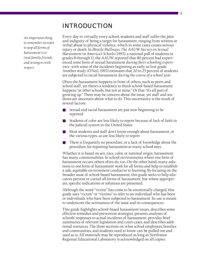# INTRODUCTION

<span id="page-6-0"></span>*An important thing to remember in order to stop all forms of harassment is to treat family, friends, and strangers with respect.*

Every day in virtually every school, students and staff suffer the pain and indignity of being a target for harassment, ranging from written or verbal abuse to physical violence, which in some cases causes serious injury or death. In *Hostile Hallways: The AAUW Survey on Sexual Harassment in America's Schools* (1993), a national poll of students in grades 8 through 11, the AAUW reported that 80 percent had experienced some form of sexual harassment *during their schooling experience,* with some of the incidents beginning as early as first grade. Another study (O'Neil, 1993) estimates that 20 to 25 percent of students are subjected to racial harassment *during the course of a school year*.

Often the harassment happens in front of others, such as peers and school staff, yet there's a tendency to think school-based harassment happens "at other schools, but not at mine." Or that "it's all part of growing up." There may be concern about the issue, yet staff and students are uncertain about what to do. This uncertainty is the result of several factors:

- Sexual and racial harassment are just now beginning to be reported
- Students of color are less likely to report because of lack of faith in the judicial system in the United States
- Most students and staff don't know enough about harassment, or the various types, so are less likely to report
- There is frequently no procedure, or a lack of knowledge about the procedure, for reporting harassment at many school sites

Whether it is based on sex, race, color, or national origin, harassment has many commonalities. In school environments where one form of harassment occurs, others often do, too. On the other hand, many solutions to one form of harassment work for all forms and help to establish a safe, equitable environment conducive to learning. By focusing on the broader issue of school-based harassment, this guide seeks to help educators prevent or curtail all forms of harassment, but where appropriate, specific indications or solutions are presented.

Although the word "victim" has come to be emotionally charged, this guide uses "victim" or "victims" to refer to an individual who has been or individuals who have been subjected to harassment. Its use is meant to underscore the seriousness of the issue and its consequences.

This guide highlights school-based harassment issues, describes some effective remedies and prevention strategies, presents analyses of schools' responses to actual incidents of harassment, provides brief summaries of relevant legislation and court cases, and describes additional resources. The three sections on what school employees, families and communities, and students need to know can be pulled out and used as is. All materials may be reproduced as long as Northwest Regional Educational Laboratory is acknowledged on all copies.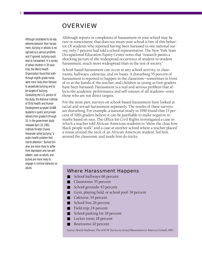# OVERVIEW

<span id="page-7-0"></span>Although considered to be less extreme behavior than harassment, bullying in schools is recognized as a serious problem, and if ignored, bullying could lead to harassment. In a survey of school children in 30 countries, the World Health Organization found that sixththrough eighth-grade males were more likely than females to perpetrate bullying and to be targets of bullying. Conducting the U.S. portion of the study, the National Institute of Child Health and Human Development surveyed 16,686 students in public and private schools from grades 6 through 10. In the government study released April 24, 2001, Institute Director Duane Alexander called bullying "a public health problem that merits attention." Bullied children are more likely to suffer from depression and low selfesteem, even as adults, and bullies are more likely to engage in criminal behavior as adults.

Although reports or complaints of harassment in your school may be rare or nonexistent, that does not mean your school is free of this behavior. Of students who reported having been harassed in one national survey, only 7 percent had told a school representative. The New York State Occupational Education Equity Center notes that "research paints a shocking picture of the widespread occurrence of student-to-student harassment, much more widespread than in the rest of society."

School-based harassment can occur at any school activity, in classrooms, hallways, cafeterias, and on buses. A disturbing 55 percent of harassment is reported to happen in the classroom—sometimes in front of or at the hands of the teacher; and children as young as first-graders have been harassed. Harassment is a real and serious problem that affects the academic performance and self-esteem of all students—even those who are not direct targets.

For the most part, surveys on school-based harassment have looked at racial and sexual harassment separately. The results of these surveys are disturbing. For example, a national study in 1990 found that 15 percent of 10th graders believe it can be justifiable to make negative remarks based on race. The Office for Civil Rights investigated a case in which a teacher told African American students to "show the class how black people walk" and a case at another school where a teacher placed a noose around the neck of an African American student, led him around the classroom, and made him do tricks.

### Where Harassment Happens

- School hallways: 66 percent
- Classrooms: 55 percent
- School grounds: 43 percent
- Gym, playing field, or school pool: 39 percent
- Cafeteria: 34 percent
- School bus: 26 percent
- Field trip: 24 percent
- School parking lot: 18 percent
- Locker room: 18 percent
- Restrooms: 10 percent

Source: *Hostile Hallways: The AAUW Survey on Sexual Harassment in America's Schools*, 1993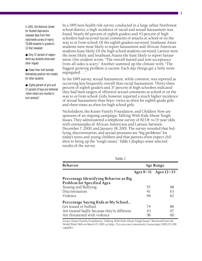In 2001, the National Center for Student Aspirations released data from their nationwide survey of nearly 70,000 students in grades  $6-$ 12 that revealed:

◆ Only 37 percent of respondents say students show each other respect

◆ Fewer than half consider themselves positive role models for other students

◆ Eighty percent of girls and 57 percent of boys are bothered "when others are insulted or hurt verbally"

In a 1995 teen health risk survey conducted in a large urban Northwest school district, a high incidence of racial and sexual harassment was found. Nearly 60 percent of eighth graders and 43 percent of high schoolers had received racial comments or attacks at school or on the way to or from school. Of the eighth graders surveyed, Southeast Asian students were most likely to report harassment and African American students least likely. Of the high school students surveyed, Latinos were the most likely and Southeast Asians the least likely to report harassment. One student wrote, "The overall hatred and non-acceptance from all sides is scary." Another summed up the climate with, "The biggest growing problem is racism. Each day things get a little more segregated. . . ."

In the 1995 survey, sexual harassment, while common, was reported as occurring less frequently overall than racial harassment. Thirty-three percent of eighth graders and 37 percent of high schoolers indicated they had been targets of offensive sexual comments at school or on the way to or from school. Girls, however, reported a much higher incidence of sexual harassment than boys—twice as often for eighth-grade girls and three times as often for high school girls.

Nickelodeon, the Kaiser Family Foundation, and Children Now are sponsors of an ongoing campaign, Talking With Kids About Tough Issues. They administered a telephone survey of 823 8- to 15-year-olds, with oversamples of African Americans and Latinos, between December 7, 2000, and January 18, 2001. The survey revealed that bullying, discrimination, and sexual pressures are "big problems" for today's teens and young children and that parents often expect children to bring up the "tough issues." Table 1 displays some selected results of the survey.

| Table 1                                                              |                  |                          |
|----------------------------------------------------------------------|------------------|--------------------------|
| <b>Behavior</b>                                                      | <b>Age Range</b> |                          |
|                                                                      |                  | Ages $8-11$ Ages $12-15$ |
| Percentage Identifying Behavior as Big<br>Problem for Specified Ages |                  |                          |
| Teasing and Bullying                                                 | 55               | 68                       |
| Discrimination                                                       | 41               | 63                       |
| Violence                                                             | 46               | 62                       |
| Percentage Saying Kids at My School                                  |                  |                          |
| Get teased or bullied                                                | 74               | 86                       |
| Are treated badly because they're different                          | 43               | 67                       |
| Are threatened with violence                                         | 38               |                          |

Source: Kaiser Family Foundation, "Talking With Kids About Tough Issues." Retrieved from the [World Wide Web on March 15, 2001, at http://fyi.cnn.com/community/transcripts/2001/03/08/](http://fyi.cnn.com/COMMUNITY/transcripts/2001/03/08/cappello/) cappello/.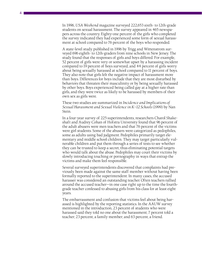In 1996, *USA Weekend* magazine surveyed 222,653 sixth- to 12th-grade students on sexual harassment. The survey appeared in 465 newspapers across the country. Eighty-one percent of the girls who completed the survey indicated they had experienced some form of sexual harassment at school compared to 76 percent of the boys who responded.

4

A state-level study published in 1996 by Trigg and Wittenstrom surveyed 696 eighth- to 12th-graders from nine schools in New Jersey. The study found that the responses of girls and boys differed. For example, 52 percent of girls were very or somewhat upset by a harassing incident compared to 19 percent of boys surveyed, and 44 percent of girls worry about being sexually harassed at school compared to 11 percent of boys. They also note that girls felt the negative impact of harassment more than boys. Differences for boys include that they are most disturbed by behaviors that threaten their masculinity or by being sexually harassed by other boys. Boys experienced being called gay at a higher rate than girls, and they were twice as likely to be harassed by members of their own sex as girls were.

These two studies are summarized in *Incidence and Implications of Sexual Harassment and Sexual Violence in K -12 Schools* (1999) by Nan Stein.

In a four-year survey of 225 superintendents, researchers Charol Shakeshaft and Audrey Cohan of Hofstra University found that 96 percent of the adult abusers were men teachers and that 76 percent of the victims were girl students. Some of the abusers were categorized as pedophiles, some as adults using bad judgment. Pedophiles primarily target elementary and middle school children. They may target particularly vulnerable children and put them through a series of tests to see whether they can be trusted to keep a secret, thus eliminating potential targets who would talk about the abuse. Pedophiles may court their victims by slowly introducing touching or pornography in ways that entrap the victims and make them feel responsible.

Several surveyed superintendents discovered that complaints had previously been made against the same staff member without having been formally reported to the superintendent. In many cases, the accused harasser was considered an outstanding teacher. Often teachers rallied around the accused teacher—in one case right up to the time the fourthgrade teacher confessed to abusing girls from his class for at least eight years.

The embarrassment and confusion that victims feel about being harassed is highlighted by the reporting statistics. In the AAUW survey mentioned in the introduction, 23 percent of students who were harassed said they told no one about the harassment; 7 percent told a teacher; 23 percent, a family member; and 63 percent, a friend.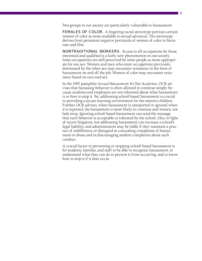Two groups in our society are particularly vulnerable to harassment:

FEMALES OF COLOR. A lingering racial stereotype portrays certain women of color as more available to sexual advances. The stereotype derives from persistent negative portrayals of women of color in literature and film.

**NONTRADITIONAL WORKERS.** Access to all occupations by those interested and qualified is a fairly new phenomenon in our society. Some occupations are still perceived by some people as more appropriate for one sex. Women and men who enter occupations previously dominated by the other sex may encounter resistance in the form of harassment on and off the job. Women of color may encounter resistance based on race and sex.

In the 1997 pamphlet *Sexual Harassment: It's Not Academic,* OCR advises that harassing behavior is often allowed to continue simply because students and employees are not informed about what harassment is or how to stop it. Yet, addressing school-based harassment is crucial to providing a secure learning environment for the nation's children. Further, OCR advises, when harassment is unreported or ignored when it is reported, the harassment is most likely to continue and worsen, not fade away. Ignoring school-based harassment can send the message that such behavior is acceptable or tolerated by the school. Also, in light of recent litigation, not addressing harassment can increase a school's legal liability, and administrators may be liable if they maintain a practice of indifference or disregard in concealing complaints of harassment or abuse and in discouraging student complaints about such conduct.

A crucial factor in preventing or stopping school-based harassment is for students, families, and staff to be able to recognize harassment, to understand what they can do to prevent it from occurring, and to know how to stop it if it does occur.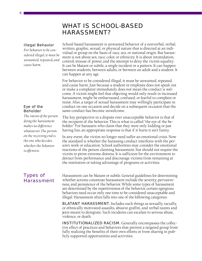# WHAT IS SCHOOL-BASED HARASSMENT?

#### <span id="page-11-0"></span>*Illegal Behavior*

*For behavior to be considered illegal, it must be unwanted, repeated, and cause harm.*

#### *Eye of the Beholder*

*The intent of the person doing the harassment makes no difference whatsoever. The person on the receiving end is the one who decides whether the behavior is offensive.*

School-based harassment is unwanted behavior of a nonverbal, verbal, written, graphic, sexual, or physical nature that is directed at an individual or group on the basis of race, sex, or national origin. But harassment is not about sex, race, color, or ethnicity. It is about intimidation, control, misuse of power, and the attempt to deny the victim equality. It can be blatant or subtle, a single incident or a pattern. It can happen between students, between adults, or between an adult and a student. It can happen at any age.

For behavior to be considered illegal, it must be unwanted, repeated, and cause harm. Just because a student or employee does not speak out or make a complaint immediately does not mean the conduct is welcome. A victim might feel that objecting would only result in increased harassment, might be embarrassed, confused, or fearful to complain or resist. Also, a target of sexual harassment may willingly participate in conduct on one occasion and decide on a subsequent occasion that the same conduct has become unwelcome.

The key perspective in a dispute over unacceptable behavior is that of the recipient of the behavior. This is what is called "the eye of the beholder." For harassers who claim that they were only kidding or just having fun, an appropriate response is that if it hurts it isn't funny.

In any event, the victim no longer need suffer an emotional crisis. Now the standard is whether the harassing conduct interferes with the person's work or education. School authorities may consider the emotional reactions of the person claiming harassment, but should not require the victim to prove extreme distress. It is sufficient for the environment to detract from performance and discourage victims from remaining at the institution or taking advantage of programs or activities.

# Types of Harassment

Harassment can be blatant or subtle. General guidelines for determining whether actions constitute harassment include the severity, pervasiveness, and persistence of the behavior. While some types of harassment are determined by the repetitiveness of the behavior, certain egregious behaviors need occur only one time to be considered unacceptable and illegal. Harassment often falls into one of the following categories:

**BLATANT HARASSMENT.** Includes such things as sexually, racially, or ethnically motivated assaults, abusive graffiti, and verbal taunts and jeers meant to denigrate. Such incidents can escalate to serious abuse, violence, or death.

INSTITUTIONALIZED RACISM. Generally encompasses the collective effect of practices and behaviors that prevent a targeted group from fully realizing the benefits of their own efforts or from sharing in publicly supported opportunities and activities.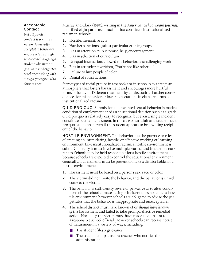#### *Acceptable Contact*

*Not all physical conduct is sexual in nature. Generally acceptable behaviors might include a high school coach hugging a student who made a goal or a kindergarten teacher consoling with a hug a youngster who skins a knee.* 

Murray and Clark (1990), writing in the *American School Board Journal,* identified eight patterns of racism that constitute institutionalized racism in schools:

- 1. Hostile, insensitive acts
- **2.** Harsher sanctions against particular ethnic groups
- 3. Bias in attention: public praise, help, encouragement
- 4. Bias in selection of curriculum
- 5. Unequal instruction: allowed misbehavior, unchallenging work
- 6. Bias in attitudes: favoritism, "You're not like other . . ."
- **7.** Failure to hire people of color
- 8. Denial of racist actions

Stereotypes of racial groups in textbooks or in school plays create an atmosphere that fosters harassment and encourages more hurtful forms of behavior. Different treatment by adults such as harsher consequences for misbehavior or lower expectations in class are forms of institutionalized racism.

QUID PRO QUO. Submission to unwanted sexual behavior is made a condition of employment or of an educational decision such as a grade. Quid pro quo is relatively easy to recognize, but even a single incident constitutes sexual harassment. In the case of an adult and student, quid pro quo can happen even if the student appears to be a willing recipient of the behavior.

**HOSTILE ENVIRONMENT.** The behavior has the purpose or effect of creating an intimidating, hostile, or offensive working or learning environment. Like institutionalized racism, a hostile environment is subtle. Generally it must involve multiple, varied, and frequent occurrences. Schools may be held responsible for a hostile environment because schools are expected to control the educational environment. Generally, four elements must be present to make a district liable for a hostile environment:

- **1.** Harassment must be based on a person's sex, race, or color.
- 2. The victim did not invite the behavior, and the behavior is unwelcome to the victim.
- **3.** The behavior is sufficiently severe or pervasive as to alter conditions of the school climate (a single incident does not equal a hostile environment; however, schools are obligated to advise the perpetrator that the behavior is inappropriate and unacceptable).
- 4. The school district must have known of or *should have known of* the harassment and failed to take prompt, effective remedial action. Normally, the victim must have made a complaint to a responsible school official. However, schools can receive notice of harassment in a variety of ways, including:
	- The student files a grievance
	- The student complains to a teacher who notifies the administration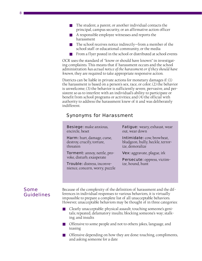- The student, a parent, or another individual contacts the principal, campus security, or an affirmative action officer
- A responsible employee witnesses and reports the harassment
- The school receives notice indirectly—from a member of the school staff or educational community, or the media
- From a flyer posted in the school or distributed at school events

OCR uses the standard of "know or should have known" in investigating complaints. This means that if harassment occurs and the school administration *has actual notice of the harassment or if they should have known*, they are required to take appropriate responsive action.

Districts can be liable in private actions for monetary damages if: (1) the harassment is based on a person's sex, race, or color; (2) the behavior is unwelcome; (3) the behavior is sufficiently severe, pervasive, and persistent so as to interfere with an individual's ability to participate or benefit from school programs or activities; and (4) the official with authority to address the harassment knew of it and was deliberately indifferent.

## Synonyms for Harassment

Besiege: make anxious, encircle, beset Harm: hurt, damage, curse, destroy, crucify, torture, threaten **Torment:** annoy, nettle, provoke, disturb, exasperate Trouble: distress, inconvenience, concern, worry, puzzle **Fatigue:** weary, exhaust, wear out, wear down **Intimidate:** cow, browbeat, bludgeon, bully, heckle, terrorize, demoralize **Vex:** aggravate, plague, irk Persecute: oppress, victimize, hound, hunt

## Some Guidelines

Because of the complexity of the definition of harassment and the differences in individual responses to various behaviors, it is virtually impossible to prepare a complete list of all unacceptable behaviors. However, unacceptable behaviors may be thought of in three categories:

- Clearly unacceptable: physical assault; touching someone's genitals; repeated, defamatory insults; blocking someone's way; stalking; and insults
- Offensive to some people and not to others: jokes, language, and teasing
- Offensive depending on how they are done: touching, compliments, and asking someone for a date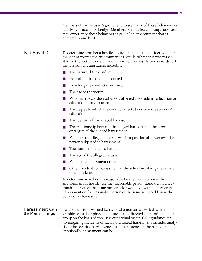Members of the harasser's group tend to see many of these behaviors as relatively innocent or benign. Members of the affected group, however, may experience these behaviors as part of an environment that is derogatory and hurtful.

#### To determine whether a hostile environment exists, consider whether the victim viewed the environment as hostile, whether it was reasonable for the victim to view the environment as hostile, and consider all the relevant circumstances including: Is it Hostile?

- The nature of the conduct
- How often the conduct occurred
- How long the conduct continued
- The age of the victim
- Whether the conduct adversely affected the student's education or educational environment
- The degree to which the conduct affected one or more students' education
- The identity of the alleged harasser
- The relationship between the alleged harasser and the target or targets of the alleged harassment
- Whether the alleged harasser was in a position of power over the person subjected to harassment
- The number of alleged harassers
- The age of the alleged harasser
- Where the harassment occurred
- Other incidents of harassment at the school involving the same or other students

To determine whether it is reasonable for the victim to view the environment as hostile, use the "reasonable person standard": If a reasonable person of the same race or color would view the behavior as harassment or if a reasonable person of the same sex would view the behavior as harassment.

#### Harassment is unwanted behavior of a nonverbal, verbal, written, graphic, sexual, or physical nature that is directed at an individual or group on the basis of race, sex, or national origin. OCR guidance for investigating incidents of racial and sexual harassment includes analysis of the severity, pervasiveness, and persistence of the behavior. Specifically, harassment can be: Harassment Can Be Many Things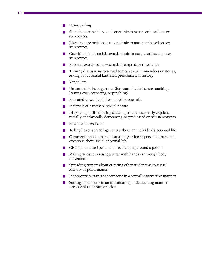- Name calling
- Slurs that are racial, sexual, or ethnic in nature or based on sex stereotypes
- Jokes that are racial, sexual, or ethnic in nature or based on sex stereotypes
- Graffiti which is racial, sexual, ethnic in nature, or based on sex stereotypes
- Rape or sexual assault—actual, attempted, or threatened
- Turning discussions to sexual topics, sexual innuendoes or stories; asking about sexual fantasies, preferences, or history
- Vandalism
- Unwanted looks or gestures (for example, deliberate touching, leaning over, cornering, or pinching)
- Repeated unwanted letters or telephone calls
- Materials of a racist or sexual nature
- Displaying or distributing drawings that are sexually explicit, racially or ethnically demeaning, or predicated on sex stereotypes
- Pressure for sex favors
- Telling lies or spreading rumors about an individual's personal life
- Comments about a person's anatomy or looks; persistent personal questions about social or sexual life
- Giving unwanted personal gifts; hanging around a person
- Making sexist or racist gestures with hands or through body movements
- Spreading rumors about or rating other students as to sexual activity or performance
- Inappropriate staring at someone in a sexually suggestive manner
- Staring at someone in an intimidating or demeaning manner because of their race or color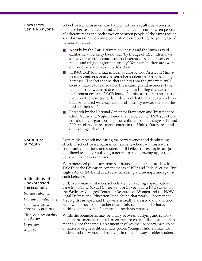| <b>Harassers</b><br><b>Can Be Anyone</b> | School-based harassment can happen between adults, between stu-<br>dents, or between an adult and a student. It can occur between people<br>of different races and both sexes or between people of the same race or<br>sex. Harassers can be young. Some studies supporting the young age of<br>harassers include:                                                                                                                                                                                                                                                                         |  |
|------------------------------------------|--------------------------------------------------------------------------------------------------------------------------------------------------------------------------------------------------------------------------------------------------------------------------------------------------------------------------------------------------------------------------------------------------------------------------------------------------------------------------------------------------------------------------------------------------------------------------------------------|--|
|                                          | A study by the Anti-Defamation League and the University of<br>California at Berkeley found that "by the age of 12, children have<br>already developed a complete set of stereotypes about every ethnic,<br>racial, and religious group in society." Younger children are aware<br>of how others are like or not like them.                                                                                                                                                                                                                                                                |  |
|                                          | In 1993, OCR found that in Eden Prairie School District in Minne-<br>sota, a second grader and seven other students had been sexually<br>harassed. "The fact that neither the boys nor the girls were suffi-<br>ciently mature to realize all of the meanings and nuances of the<br>language that was used does not obviate a finding that sexual<br>harassment occurred," OCR found. "In this case there is no question<br>that even the youngest girls understood that the language and con-<br>duct being used were expressions of hostility toward them on the<br>basis of their sex." |  |
|                                          | Research by the National Center for Prevention and Treatment of<br>Child Abuse and Neglect found that 25 percent of 1,600 sex offend-<br>ers said they began abusing other children before the age of 12, and<br>200 sex-offender treatment centers in the United States treat chil-<br>dren younger than 10.                                                                                                                                                                                                                                                                              |  |
| <b>Not a Rite</b><br>of Youth            | Despite the research indicating the pervasiveness and debilitating<br>effects of school-based harassment, some teachers, administrators,<br>community members, and students still believe the examples are just<br>childhood teasing or bullying, a normal part of growing up, or the<br>boys-will-be-boys syndrome.                                                                                                                                                                                                                                                                       |  |
| <b>Indications of</b>                    | With increased public awareness of harassment, parents are invoking<br>Title IX of the Education Amendments of 1972 and Title VI of the Civil<br>Rights Act of 1964, and courts are increasingly drawing a line against<br>such behavior.                                                                                                                                                                                                                                                                                                                                                  |  |
| <b>Unexpressed</b><br><b>Harassment</b>  | Still, in too many instances, schools are not reacting appropriately.<br>Secrets in Public: Sexual Harassment in Our Schools, a 1993 survey for                                                                                                                                                                                                                                                                                                                                                                                                                                            |  |
| Increased absences                       | the Wellesley College's Center for Research on Women and the NOW<br>Legal Defense and Education Fund, found that nearly 40 percent of                                                                                                                                                                                                                                                                                                                                                                                                                                                      |  |
| Decreased productivity                   | 4,200 girls surveyed said they were sexually harassed daily at school.                                                                                                                                                                                                                                                                                                                                                                                                                                                                                                                     |  |
| Complaints about<br>personality problems | Even when they told a teacher or administrator about the harassment,<br>nothing happened in 45 percent of incidents reported.                                                                                                                                                                                                                                                                                                                                                                                                                                                              |  |
| Changes in personality<br>or behavior    | While the boundaries may be blurry between bullying and school-<br>based harassment attributed to sex, race, or color, bullying and harass-                                                                                                                                                                                                                                                                                                                                                                                                                                                |  |
| Depression                               | ment are not the same. Harassment involves the use of sex, race, color,                                                                                                                                                                                                                                                                                                                                                                                                                                                                                                                    |  |
| Anxiety                                  | or national origin to differentiate power. Younger children may not<br>understand the words and behavior in the same way as older students,                                                                                                                                                                                                                                                                                                                                                                                                                                                |  |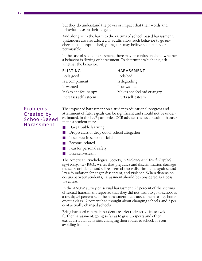but they do understand the power or impact that their words and behavior have on their targets.

And along with the harm to the victims of school-based harassment, bystanders are also affected. If adults allow such behavior to go unchecked and unpunished, youngsters may believe such behavior is permissible.

In the case of sexual harassment, there may be confusion about whether a behavior is flirting or harassment. To determine which it is, ask whether the behavior:

| <b>FLIRTING</b>       | <b>HARASSMENT</b>           |  |
|-----------------------|-----------------------------|--|
| Feels good            | Feels bad                   |  |
| Is a compliment       | Is degrading                |  |
| Is wanted             | Is unwanted                 |  |
| Makes one feel happy  | Makes one feel sad or angry |  |
| Increases self-esteem | Hurts self-esteem           |  |

# Problems Created by School-Based Harassment

The impact of harassment on a student's educational progress and attainment of future goals can be significant and should not be underestimated. In the 1997 pamphlet, OCR advises that as a result of harassment, a student may:

- Have trouble learning
- Drop a class or drop out of school altogether
- Lose trust in school officials
- Become isolated
- Fear for personal safety
- Lose self-esteem

The American Psychological Society, in *Violence and Youth: Psychology's Response* (1993), writes that prejudice and discrimination damage the self-confidence and self-esteem of those discriminated against and lay a foundation for anger, discontent, and violence. When dissension occurs between students, harassment should be considered as a possible cause.

In the AAUW survey on sexual harassment, 23 percent of the victims of sexual harassment reported that they did not want to go to school as a result; 24 percent said the harassment had caused them to stay home or cut a class; 12 percent had thought about changing schools; and 3 percent actually changed schools.

Being harassed can make students restrict their activities to avoid further harassment, going so far as to give up sports and other extracurricular activities, changing their routes to school, or even avoiding friends.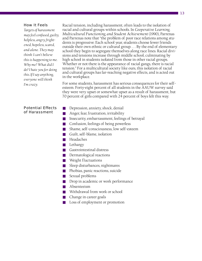#### *How It Feels*

*Targets of harassment may feel confused, guilty, helpless, angry, frightened, hopeless, scared, and alone. They may think: I can't believe this is happening to me. Why me? What did I do? I hate you for doing this. If I say anything, everyone will think I'm crazy.*

Racial tension, including harassment, often leads to the isolation of racial and cultural groups within schools. In *Cooperative Learning, Multicultural Functioning, and Student Achievement* (1990), Parrenas and Parrenas note that "the problem of poor race relations among students is progressive: Each school year, students choose fewer friends outside their own ethnic or cultural group. . . . By the end of elementary school they begin to segregate themselves along race lines. Racial divisions and tensions increase through middle school, culminating by high school in students isolated from those in other racial groups. Whether or not there is the appearance of racial gangs, there is racial tension." For a multicultural society like ours, this isolation of racial and cultural groups has far-reaching negative effects, and is acted out in the workplace.

For some students, harassment has serious consequences for their selfesteem. Forty-eight percent of all students in the AAUW survey said they were very upset or somewhat upset as a result of harassment, but 70 percent of girls compared with 24 percent of boys felt this way.

#### Potential Effects of Harassment

- Depression, anxiety, shock, denial
- Anger, fear, frustration, irritability
- Insecurity, embarrassment, feelings of betrayal
- Confusion, feelings of being powerless
- Shame, self-consciousness, low self-esteem
- Guilt, self-blame, isolation
- Headaches
- Lethargy
- Gastrointestinal distress
- Dermatological reactions
- Weight fluctuations
- Sleep disturbances, nightmares
- Phobias, panic reactions, suicide
- Sexual problems
- Drop in academic or work performance
- Absenteeism
- Withdrawal from work or school
- Change in career goals
- Loss of employment or promotion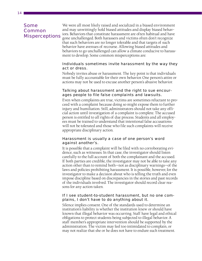## Some Common **Misperceptions**

We were all most likely raised and socialized in a biased environment and may unwittingly hold biased attitudes and display biased behaviors. Behaviors that constitute harassment are often habitual and have gone unchallenged. Both harassers and victims often don't recognize that such behaviors are no longer tolerable and that targets of such behavior have avenues of recourse. Allowing biased attitudes and behaviors to go unchallenged can allow a climate conducive to harassment to develop. Some common misperceptions are:

#### Individuals sometimes invite harassment by the way they act or dress.

Nobody invites abuse or harassment. The key point is that individuals must be fully accountable for their own behavior. One person's attire or actions may not be used to excuse another person's abusive behavior.

#### Talking about harassment and the right to sue encourages people to file false complaints and lawsuits.

Even when complaints are true, victims are sometimes reluctant to proceed with a complaint because doing so might expose them to further injury and humiliation. Still, administrators should not take any official action until investigation of a complaint is complete. The accused person is entitled to all rights of due process. Students and all employees must be trained to understand that intentional false accusations will not be tolerated and those who file such complaints will receive appropriate disciplinary action.

#### Harassment is usually a case of one person's word against another's.

It is possible that a complaint will be filed with no corroborating evidence, such as witnesses. In that case, the investigator should listen carefully to the full account of both the complainant and the accused. If both parties are credible, the investigator may not be able to take any action other than to remind both—not as disciplinary warnings—of the laws and policies prohibiting harassment. It is possible, however, for the investigator to make a decision about who is telling the truth and even impose discipline based on discrepancies in the stories and past records of the individuals involved. The investigator should record clear reasons for any action taken.

#### If I see student-to-student harassment, but no one complains, I don't have to do anything about it.

Silence implies consent. One of the standards used to determine an institution's liability is whether the institution knew or should have known that illegal behavior was occurring. Staff have legal and ethical obligations to protect students being subjected to illegal behavior. A staff member's appropriate intervention should be supported by the administration. The victim may feel too intimidated to complain, or may not realize that she or he does not have to endure such treatment.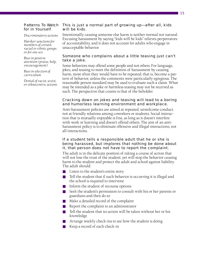#### 15

#### *Patterns To Watch for in Yourself*

*Discriminatory actions*

*Harsher sanctions for members of certain racial or ethnic groups or for one sex*

*Bias in positive attention (praise, help, encouragement)*

*Bias in selection of curriculum*

*Denial of racist, sexist, or ethnocentric actions*

#### This is just a normal part of growing up—after all, kids will be kids.

Intentionally causing someone else harm is neither normal nor natural. Excusing harassment by saying "kids will be kids" relieves perpetrators of accountability, and it does not account for adults who engage in unacceptable behavior.

#### Someone who complains about a little teasing just can't take a joke.

Some behaviors may offend some people and not others. For language, jokes, and teasing to meet the definition of harassment by causing harm, most often they would have to be repeated, that is, become a pattern of behavior, unless the comments were particularly egregious. The reasonable person standard may be used to evaluate such a claim. What may be intended as a joke or harmless teasing may not be received as such. The perspective that counts is that of the beholder.

#### Cracking down on jokes and teasing will lead to a boring and humorless learning environment and workplace.

Anti-harassment policies are aimed at repeated, unwelcome conduct, not at friendly relations among coworkers or students. Social interaction that is mutually enjoyable is fine, as long as it doesn't interfere with work or learning and doesn't offend others. The aim of an antiharassment policy is to eliminate offensive and illegal interactions, not all interactions.

#### If a student tells a responsible adult that he or she is being harassed, but implores that nothing be done about it, that person does not have to report the complaint.

The adult is in the delicate position of taking a course of action that will not lose the trust of the student, yet will stop the behavior causing harm to the student and protect the adult and school against liability. The adult should:

- Listen to the student's entire story
- $\blacksquare$  Tell the student that if such behavior is occurring it is illegal and the school is required to intervene
- Inform the student of recourse options
- Seek the student's permission to consult with his or her parents or guardians and then do so
- Make a detailed record of the complaint
- Report the complaint to an administrator
- Tell the student that no action will be taken without her or his knowledge
- Arrange weekly check-ins to see how the student is doing
- Keep a record of each check-in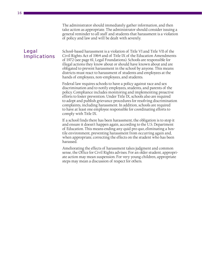The administrator should immediately gather information, and then take action as appropriate. The administrator should consider issuing a general reminder to all staff and students that harassment is a violation of policy and law and will be dealt with severely.

# Legal **Implications**

School-based harassment is a violation of Title VI and Title VII of the Civil Rights Act of 1964 and of Title IX of the Education Amendments of 1972 (see page 61, Legal Foundations). Schools are responsible for illegal actions they know about or should have known about and are obligated to prevent harassment in the school by anyone. This means districts must react to harassment of students and employees at the hands of employees, non-employees, and students.

Federal law requires schools to have a policy against race and sex discrimination and to notify employees, students, and parents of the policy. Compliance includes monitoring and implementing proactive efforts to foster prevention. Under Title IX, schools also are required to adopt and publish grievance procedures for resolving discrimination complaints, including harassment. In addition, schools are required to have at least one employee responsible for coordinating efforts to comply with Title IX.

If a school finds there has been harassment, the obligation is to stop it and ensure it doesn't happen again, according to the U.S. Department of Education. This means ending any quid pro quo, eliminating a hostile environment, preventing harassment from occurring again and, when appropriate, correcting the effects on the student who has been harassed.

Ameliorating the effects of harassment takes judgment and common sense, the Office for Civil Rights advises. For an older student, appropriate action may mean suspension. For very young children, appropriate steps may mean a discussion of respect for others.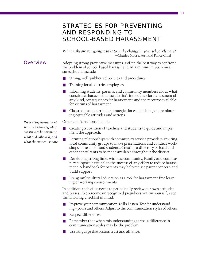# STRATEGIES FOR PREVENTING AND RESPONDING TO SCHOOL-BASED HARASSMENT

*What risks are you going to take to make change in your school climate?* —Charles Moose, Portland Police Chief

# <span id="page-22-0"></span>**Overview**

Adopting strong preventive measures is often the best way to confront the problem of school-based harassment. At a minimum, such measures should include:

- Strong, well-publicized policies and procedures
- Training for all district employees
- Informing students, parents, and community members about what constitutes harassment, the district's intolerance for harassment of any kind, consequences for harassment, and the recourse available for victims of harassment
- Classroom and curricular strategies for establishing and reinforcing equitable attitudes and actions

Other considerations include:

- Creating a coalition of teachers and students to guide and implement the approach.
- Forming relationships with community service providers. Inviting local community groups to make presentations and conduct workshops for teachers and students. Creating a directory of local and other consultants to be made available throughout the district.
- Developing strong links with the community. Family and community support is critical to the success of any effort to reduce harassment. A handbook for parents may help reduce parent concern and build support.
- Using multicultural education as a tool for harassment-free learning or working environments.

In addition, each of us needs to periodically review our own attitudes and biases. To overcome unrecognized prejudices within yourself, keep the following checklist in mind:

- Improve your communication skills. Listen. Test for understanding—yours and others. Adjust to the communication styles of others.
- Respect differences.
- Remember that when misunderstandings arise, a difference in communication styles may be the problem.
- Use language that fosters trust and alliance.

*Preventing harassment requires knowing what constitutes harassment, what to do about it, and what the root causes are.*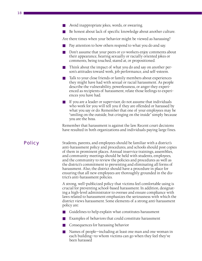- Avoid inappropriate jokes, words, or swearing.
- Be honest about lack of specific knowledge about another culture.

Are there times when your behavior might be viewed as harassing?

- Pay attention to how others respond to what you do and say.
- Don't assume that your peers or co-workers enjoy comments about their appearance, hearing sexually or racially oriented jokes or comments, being touched, stared at, or propositioned.
- Think about the impact of what you do and say on another person's attitudes toward work, job performance, and self-esteem.
- Talk to your close friends or family members about experiences they might have had with sexual or racial harassment. As people describe the vulnerability, powerlessness, or anger they experienced as recipients of harassment, relate those feelings to experiences you have had.
- $\blacksquare$  If you are a leader or supervisor, do not assume that individuals who work for you will tell you if they are offended or harassed by what you say or do. Remember that one of your employees may be "smiling on the outside, but cringing on the inside" simply because you are the boss.

Remember that harassment is against the law. Recent court decisions have resulted in both organizations and individuals paying large fines.

## **Policy**

Students, parents, and employees should be familiar with a district's anti-harassment policy and procedures, and schools should post copies of them in prominent places. Annual inservice trainings, assemblies, and community meetings should be held with students, employees, and the community to review the policies and procedures as well as the district's commitment to preventing and eliminating all forms of harassment. Also, the district should have a procedure in place for ensuring that all new employees are thoroughly grounded in the district's anti-harassment policies.

A strong, well-publicized policy that victims feel comfortable using is crucial for preventing school-based harassment. In addition, designating a high-level administrator to oversee and ensure compliance with laws related to harassment emphasizes the seriousness with which the district views harassment. Some elements of a strong anti-harassment policy are:

- Guidelines to help explain what constitutes harassment
- Examples of behaviors that could constitute harassment
- Consequences for harassing behavior
- Names of people—including at least one man and one woman in each building—to whom victims can go when they feel they've been harassed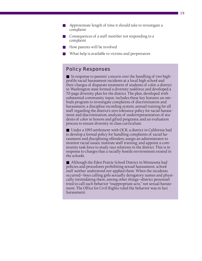- Approximate length of time it should take to investigate a complaint
- Consequences of a staff member not responding to a complaint
- How parents will be involved
- What help is available to victims and perpetrators

#### Policy Responses

■ In response to parents' concern over the handling of two highprofile racial harassment incidents at a local high school and their charges of disparate treatment of students of color, a district in Washington state formed a diversity taskforce and developed a 70-page diversity plan for the district. The plan, developed with substantial community input, includes these key features: an ombuds program to investigate complaints of discrimination and harassment; a discipline recording system; annual training for all staff regarding the district's zero tolerance policy for racial harassment and discrimination; analysis of underrepresentation of students of color in honors and gifted programs; and an evaluation process to ensure diversity in class curriculum.

■ Under a 1993 settlement with OCR, a district in California had to develop a formal policy for handling complaints of racial harassment and disciplining offenders; assign an administrator to monitor racial issues; institute staff training; and appoint a community task force to study race relations in the district. This is in response to charges that a racially hostile environment existed in the schools.

■ Although the Eden Prairie School District in Minnesota had policies and procedures prohibiting sexual harassment, school staff neither understood nor applied them. When the incidents occurred—boys calling girls sexually derogatory names and physically intimidating them, among other things—district personnel tried to call such behavior "inappropriate acts," not sexual harassment. The Office for Civil Rights ruled the behavior was in fact harassment.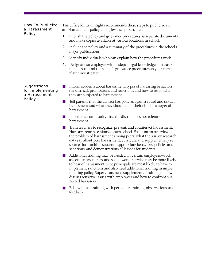| <b>How To Publicize</b><br>a Harassment<br><b>Policy</b>                | The Office for Civil Rights recommends these steps to publicize an<br>anti-harassment policy and grievance procedures: |                                                                                                                                                                                                                                                                                                                                                |  |  |
|-------------------------------------------------------------------------|------------------------------------------------------------------------------------------------------------------------|------------------------------------------------------------------------------------------------------------------------------------------------------------------------------------------------------------------------------------------------------------------------------------------------------------------------------------------------|--|--|
|                                                                         | 1.                                                                                                                     | Publish the policy and grievance procedures as separate documents<br>and make copies available at various locations in school.                                                                                                                                                                                                                 |  |  |
|                                                                         | 2.                                                                                                                     | Include the policy and a summary of the procedures in the school's<br>major publications.                                                                                                                                                                                                                                                      |  |  |
|                                                                         | 3.                                                                                                                     | Identify individuals who can explain how the procedures work.                                                                                                                                                                                                                                                                                  |  |  |
|                                                                         | 4.                                                                                                                     | Designate an employee with indepth legal knowledge of harass-<br>ment issues and the school's grievance procedures as your com-<br>plaint investigator.                                                                                                                                                                                        |  |  |
| <b>Suggestions</b><br>for Implementing<br>a Harassment<br><b>Policy</b> |                                                                                                                        | Inform students about harassment, types of harassing behaviors,<br>the district's prohibitions and sanctions, and how to respond if<br>they are subjected to harassment.                                                                                                                                                                       |  |  |
|                                                                         |                                                                                                                        | Tell parents that the district has policies against racial and sexual<br>harassment and what they should do if their child is a target of<br>harassment.                                                                                                                                                                                       |  |  |
|                                                                         |                                                                                                                        | Inform the community that the district does not tolerate<br>harassment.                                                                                                                                                                                                                                                                        |  |  |
|                                                                         |                                                                                                                        | Train teachers to recognize, prevent, and counteract harassment.<br>Have awareness sessions at each school. Focus on an overview of<br>the problem of harassment among peers; what the survey research<br>data say about peer harassment; curricula and supplementary re-<br>sources for teaching students appropriate behaviors; policies and |  |  |

20

■ Additional training may be needed for certain employees—such as counselors, nurses, and social workers—who may be more likely to hear of harassment. Vice principals are most likely to have to implement sanctions and also need additional training in implementing policy. Supervisors need supplemental training on how to discuss sensitive issues with employees and how to confront suspected harassers.

sanctions; and demonstrations of lessons for students.

■ Follow up all training with periodic retraining, observations, and feedback.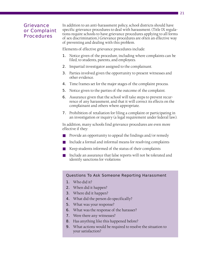## **Grievance** or Complaint Procedures

In addition to an anti-harassment policy, school districts should have specific grievance procedures to deal with harassment. (Title IX regulations require schools to have grievance procedures applying to all forms of sex discrimination.) Grievance procedures are often an effective way of preventing and dealing with this problem.

Elements of effective grievance procedures include:

- 1. Notice given of the procedure, including where complaints can be filed, to students, parents, and employees.
- 2. Impartial investigator assigned to the complainant.
- **3.** Parties involved given the opportunity to present witnesses and other evidence.
- **4.** Time frames set for the major stages of the complaint process.
- 5. Notice given to the parties of the outcome of the complaint.
- **6.** Assurance given that the school will take steps to prevent recurrence of any harassment, and that it will correct its effects on the complainant and others where appropriate.
- 7. Prohibition of retaliation for filing a complaint or participating in an investigation or inquiry (a legal requirement under federal law).

In addition, many schools find grievance procedures are even more effective if they:

- Provide an opportunity to appeal the findings and/or remedy
- Include a formal and informal means for resolving complaints
- Keep students informed of the status of their complaints
- Include an assurance that false reports will not be tolerated and identify sanctions for violations

#### Questions To Ask Someone Reporting Harassment

- **1.** Who did it?
- **2.** When did it happen?
- **3.** Where did it happen?
- 4. What did the person do specifically?
- **5.** What was your response?
- **6.** What was the response of the harasser?
- **7.** Were there any witnesses?
- **8.** Has anything like this happened before?
- **9.** What actions would be required to resolve the situation to your satisfaction?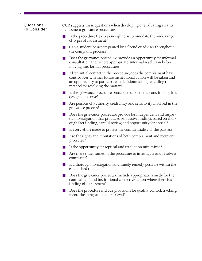#### Questions To Consider

OCR suggests these questions when developing or evaluating an antiharassment grievance procedure:

- Is the procedure flexible enough to accommodate the wide range of types of harassment?
- Can a student be accompanied by a friend or adviser throughout the complaint process?
- Does the grievance procedure provide an opportunity for informal consultation and, where appropriate, informal resolution before moving into formal procedure?
- After initial contact in the procedure, does the complainant have control over whether future institutional action will be taken and an opportunity to participate in decisionmaking regarding the method for resolving the matter?
- Is the grievance procedure process credible to the constituency it is designed to serve?
- Are persons of authority, credibility, and sensitivity involved in the grievance process?
- Does the grievance procedure provide for independent and impartial investigation that produces persuasive findings based on thorough fact finding, careful review, and opportunity for appeal?
- Is every effort made to protect the confidentiality of the parties?
- Are the rights and reputations of both complainant and recipient protected?
- Is the opportunity for reprisal and retaliation minimized?
- Are there time frames in the procedure to investigate and resolve a complaint?
- Is a thorough investigation and timely remedy possible within the established timetable?
- Does the grievance procedure include appropriate remedy for the complainant and institutional corrective action where there is a finding of harassment?
- Does the procedure include provisions for quality control, tracking, record-keeping, and data retrieval?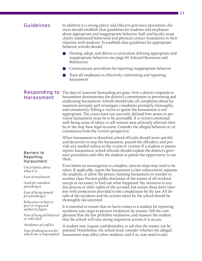#### In addition to a strong policy and effective grievance procedures, districts should establish clear guidelines for students and employees about appropriate and inappropriate behavior. Staff and faculty must clearly understand behavioral and physical contact boundaries in their relations with students. To establish clear guidelines for appropriate behavior, schools should: Guidelines

- Develop, adopt, and deliver a curriculum defining appropriate and inappropriate behaviors (see page 64, Selected Resources and References)
- Communicate procedures for reporting inappropriate behavior
- Train all employees in effectively confronting and reporting harassment

Responding to Harassment

The days of innocent bystanding are gone. How a district responds to harassment demonstrates the district's commitment to preventing and eradicating harassment. Schools should take all complaints about harassment seriously and investigate complaints promptly, thoroughly, and consistently. Telling a victim to ignore the harassment is not appropriate. The courts have not narrowly defined how severe or pervasive harassment must be to be actionable. If a victim's emotional well-being, sense of safety, or self-esteem were adversely affected, then he or she may have legal recourse. Consider the alleged behavior or circumstances from the victim's perspective.

When harassment is identified, school officials should move quickly and decisively to stop the harassment, punish the offenders, and provide any needed redress to the victim or victims. If a student or parent reports harassment, school officials should explain the district's grievance procedures and offer the student or parent the opportunity to use them.

Even before an investigation is complete, interim steps may need to be taken. If applicable, report the harassment to law enforcement, separate the students, or allow the person claiming harassment to transfer to another class. Prevent public disclosure of the names of all involved except as necessary to find out what happened. Pay attention to any due process or other rights of the accused, but ensure these don't interfere with protections provided to the complainant by the law. All details of the incidents and the actions taken by the school should be thoroughly documented.

It is essential to ensure that no harm comes to a student for reporting incidents; take steps to prevent retaliation by anyone. Tell the complainant that the law prohibits retaliation, and reassure the student that the school will take strong responsive actions if it occurs.

A student may request confidentiality or ask that the matter not be pursued. Nonetheless, the school must consider whether the alleged harassment may affect other students, and if so, may need to take

#### *Barriers to Reporting Harassment*

*Uncertainty about what it is*

*Fear of retaliation*

*Guilt for somehow provoking it*

*Fear of being named for provoking it*

*Reluctance to hurt a peer or respected authority figure*

*Fear of being disbelieved or ridiculed*

*Avoidance of conflict*

*Fear of taking action for which one is unprepared*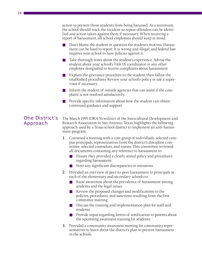action to prevent those students from being harassed. At a minimum, the school should track the incident so repeat offenders can be identified and action taken against them if necessary. When receiving a report of harassment, all school employees should keep in mind:

- Don't blame the student or question the student's motives. Harassment can be hard to report. It is wrong and illegal, and federal law requires your school to have policies against it.
- Take thorough notes about the student's experience. Advise the student about your school's Title IX coordinator or any other employee designated to receive complaints about harassment.
- Explain the grievance procedure to the student, then follow the established procedures. Review your school's policy or ask a supervisor if necessary.
- Inform the student of outside agencies that can assist if the complaint is not resolved satisfactorily.
- Provide specific information about how the student can obtain continued guidance and support.

# One District's Approach

The March 1995 *IDRA Newsletter* of the Intercultural Development and Research Association in San Antonio, Texas, highlights the following approach used by a Texas school district to implement an anti-harassment program:

- 1. Convened a meeting with a core group of individuals, selected campus principals, representatives from the district's discipline committee, selected counselors, and nurses. This committee reviewed all documents containing any reference to harassment to:
	- Ensure they provided a clearly stated policy and procedures regarding harassment
	- Note any significant discrepancies or omissions
- 2. Provided an overview of peer-to-peer harassment to principals at each of the elementary and secondary schools to:
	- Raise awareness about the prevalence of harassment among students and the legal issues
	- Review the proposed changes and modifications to the policies, procedures, and sanctions resulting from the first committee meeting
	- Discuss the training and implementation plan for staff and students
	- Provide input regarding letters of notification to parents about the upcoming awareness training for students
- **3.** Provided a community awareness meeting for community representatives to learn about the district's plan to prevent harassment in the schools.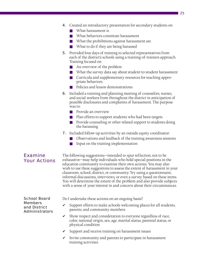- 4. Created an introductory presentation for secondary students on:
	- What harassment is
	- What behaviors constitute harassment
	- What the prohibitions against harassment are
	- What to do if they are being harassed
- 5. Provided four days of training to selected representatives from each of the district's schools using a training-of-trainers approach. Training focused on:
	- An overview of the problem
	- What the survey data say about student-to-student harassment
	- Curricula and supplementary resources for teaching appropriate behaviors
	- Policies and lesson demonstrations
- 6. Included a training and planning meeting of counselors, nurses, and social workers from throughout the district in anticipation of possible disclosures and complaints of harassment. The purpose was to:
	- Provide an overview
	- Plan efforts to support students who had been targets
	- Provide counseling or other related support to students doing the harassing
- **7.** Included follow-up activities by an outside equity coordinator:
	- Observations and feedback of the training awareness sessions
	- Input on the training implementation

## Examine Your Actions

The following suggestions—intended to spur reflection, not to be exhaustive—may help individuals who hold special positions in the education community to examine their own actions. You may also wish to use these suggestions to assess the extent of harassment in your classroom, school, district, or community. Try using a questionnaire, informal discussions, interviews, or even a survey based on these items. You will determine the extent of the problem and also provide subjects with a sense of your interest in and concern about their circumstances.

#### School Board Members and District Administrators

Do I undertake these actions on an ongoing basis?

- $\triangleright$  Support efforts to make schools welcoming places for all students, parents, and community members
- $\triangleright$  Show respect and consideration to everyone regardless of race, color, national origin, sex, age, marital status, parental status, or physical condition
- $\triangleright$  Support and receive training on harassment issues
- $\boldsymbol{\nu}$  Invite community and parents to participate in harassment training activities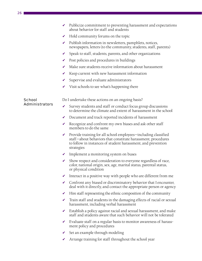- $\boldsymbol{\nu}$  Publicize commitment to preventing harassment and expectations about behavior for staff and students
- $\vee$  Hold community forums on the topic
- $\triangleright$  Publish information in newsletters, pamphlets, notices, newspapers, letters (to the community, students, staff, parents)
- $\triangleright$  Speak to staff, students, parents, and other organizations
- $\triangleright$  Post policies and procedures in buildings
- Make sure students receive information about harassment
- $\checkmark$  Keep current with new harassment information
- $\vee$  Supervise and evaluate administrators
- $\checkmark$  Visit schools to see what's happening there

#### **School** Administrators

- Do I undertake these actions on an ongoing basis?
- $\boldsymbol{\nu}$  Survey students and staff or conduct focus group discussions to determine the climate and extent of harassment in the school
- $\vee$  Document and track reported incidents of harassment
- $\vee$  Recognize and confront my own biases and ask other staff members to do the same
- $\triangleright$  Provide training for all school employees—including classified staff—about behaviors that constitute harassment, procedures to follow in instances of student harassment, and prevention strategies
- $\vee$  Implement a monitoring system on buses
- Show respect and consideration to everyone regardless of race, color, national origin, sex, age, marital status, parental status, or physical condition
- $\vee$  Interact in a positive way with people who are different from me
- $\triangleright$  Confront any biased or discriminatory behavior that I encounter, deal with it directly, and contact the appropriate person or agency
- $\boldsymbol{\checkmark}$  Hire staff representing the ethnic composition of the community
- $\triangledown$  Train staff and students in the damaging effects of racial or sexual harassment, including verbal harassment
- $\triangleright$  Establish a policy against racial and sexual harassment, and make staff and students aware that such behavior will not be tolerated
- $\triangleright$  Evaluate staff on a regular basis to monitor awareness of harassment policy and procedures
- $\vee$  Set an example through modeling
- $\vee$  Arrange training for staff throughout the school year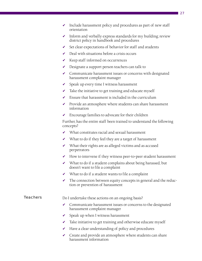- $\vee$  Include harassment policy and procedures as part of new staff orientation
- $\triangleright$  Inform and verbally express standards for my building; review district policy in handbook and procedures
- $\checkmark$  Set clear expectations of behavior for staff and students
- $\triangleright$  Deal with situations before a crisis occurs
- $\vee$  Keep staff informed on occurrences
- $\vee$  Designate a support person teachers can talk to
- $\triangleright$  Communicate harassment issues or concerns with designated harassment complaint manager
- $\checkmark$  Speak up every time I witness harassment
- $\triangleright$  Take the initiative to get training and educate myself
- $\triangleright$  Ensure that harassment is included in the curriculum
- $\vee$  Provide an atmosphere where students can share harassment information
- $\triangleright$  Encourage families to advocate for their children

Further, has the entire staff been trained to understand the following concepts?

- $\vee$  What constitutes racial and sexual harassment
- $\boldsymbol{\nu}$  What to do if they feel they are a target of harassment
- $\vee$  What their rights are as alleged victims and as accused perpetrators
- $\vee$  How to intervene if they witness peer-to-peer student harassment
- $\vee$  What to do if a student complains about being harassed, but doesn't want to file a complaint
- $\vee$  What to do if a student wants to file a complaint
- $\vee$  The connection between equity concepts in general and the reduction or prevention of harassment

#### Do I undertake these actions on an ongoing basis? **Teachers**

- $\checkmark$  Communicate harassment issues or concerns to the designated harassment complaint manager
- $\checkmark$  Speak up when I witness harassment
- $\checkmark$  Take initiative to get training and otherwise educate myself
- $\vee$  Have a clear understanding of policy and procedures
- $\vee$  Create and provide an atmosphere where students can share harassment information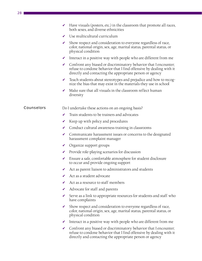- $\boldsymbol{\checkmark}$  Have visuals (posters, etc.) in the classroom that promote all races, both sexes, and diverse ethnicities  $\vee$  Use multicultural curriculum  $\triangleright$  Show respect and consideration to everyone regardless of race, color, national origin, sex, age, marital status, parental status, or physical condition  $\checkmark$  Interact in a positive way with people who are different from me  $\triangleright$  Confront any biased or discriminatory behavior that I encounter; refuse to condone behavior that I find offensive by dealing with it directly and contacting the appropriate person or agency  $\triangleright$  Teach students about stereotypes and prejudice and how to recognize the bias that may exist in the materials they use in school  $\boldsymbol{\nu}$  Make sure that all visuals in the classroom reflect human diversity Do I undertake these actions on an ongoing basis? ✔ Train students to be trainers and advocates  $\vee$  Keep up with policy and procedures  $\vee$  Conduct cultural awareness training in classrooms  $\checkmark$  Communicate harassment issues or concerns to the designated harassment complaint manager  $\vee$  Organize support groups  $\vee$  Provide role-playing scenarios for discussion  $\triangleright$  Ensure a safe, comfortable atmosphere for student disclosure to occur and provide ongoing support  $\triangleright$  Act as parent liaison to administrators and students  $\vee$  Act as a student advocate  $\vee$  Act as a resource to staff members  $\boldsymbol{\checkmark}$  Advocate for staff and parents  $\checkmark$  Serve as a link to appropriate resources for students and staff who have complaints  $\triangleright$  Show respect and consideration to everyone regardless of race, **Counselors** 
	- color, national origin, sex, age, marital status, parental status, or physical condition
	- $\vee$  Interact in a positive way with people who are different from me
	- $\triangleright$  Confront any biased or discriminatory behavior that I encounter; refuse to condone behavior that I find offensive by dealing with it directly and contacting the appropriate person or agency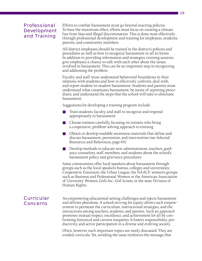# Professional Development and Training

Efforts to combat harassment must go beyond enacting policies. To have the maximum effect, efforts must focus on creating a climate free from bias and illegal discrimination. This is done most effectively through professional development and training for employees, students, parents, and community members.

All district employees should be trained in the district's policies and procedures as well as how to recognize harassment in all its forms. In addition to providing information and strategies, training sessions give employees a chance to talk with each other about the issues involved in harassment. This can be an important step in recognizing and addressing the problem.

Faculty and staff must understand behavioral boundaries in their relations with students and how to effectively confront, deal with, and report student-to-student harassment. Students and parents must understand what constitutes harassment, be aware of reporting procedures, and understand the steps that the school will take to eliminate harassment.

Suggestions for developing a training program include:

- Train students, faculty, and staff to recognize and respond appropriately to harassment
- Choose trainers carefully, focusing on trainers who bring a cooperative, problem-solving approach to training
- Obtain or develop readable awareness materials that define and discuss harassment, prevention, and intervention (see Selected Resources and References, page 64)
- Develop methods to educate new administrators, teachers, guidance counselors, staff members, and students about the school's harassment policy and grievance procedures

Some communities offer local speakers about harassment through groups such as the local speakers bureau, colleges and universities; Cooperative Extension; the Urban League; the NAACP; women's groups such as Business and Professional Women or the American Association of University Women; Girls Inc.; Girl Scouts; or the state Division of Human Rights.

# **Curricular** Concerns

An empowering educational setting challenges and rejects harassment and affirms pluralism. A school striving for equity allows such empowerment to permeate the curriculum, instructional strategies, and the interactions among teachers, students, and parents. Such an approach promotes mutual respect, excellence, and achievement for all by confronting historical and current inequities. It fosters responsibility, productivity, and active participation in a diverse and evolving society.

Often, however, such important topics are rarely discussed. They are evaded curricula. Yet, avoiding the issue reinforces the message that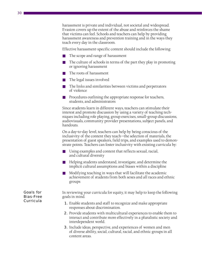harassment is private and individual, not societal and widespread. Evasion covers up the extent of the abuse and reinforces the shame that victims can feel. Schools and teachers can help by providing harassment awareness and prevention training and in the ways they teach every day in the classroom.

Effective harassment-specific content should include the following:

- The scope and range of harassment
- The culture of schools in terms of the part they play in promoting or ignoring harassment
- The roots of harassment
- The legal issues involved
- The links and similarities between victims and perpetrators of violence
- Procedures outlining the appropriate response for teachers, students, and administrators

Since students learn in different ways, teachers can stimulate their interest and promote discussion by using a variety of teaching techniques including role playing, group exercises, small-group discussions, audiovisuals, community provider presentations, subject panels, and handouts.

On a day-to-day level, teachers can help by being conscious of the inclusivity of the content they teach—the selection of materials, the presentation of guest speakers, field trips, and examples used to demonstrate points. Teachers can foster inclusivity with existing curricula by:

- Using examples and content that reflects sexual, racial, and cultural diversity
- Helping students understand, investigate, and determine the implicit cultural assumptions and biases within a discipline
- Modifying teaching in ways that will facilitate the academic achievement of students from both sexes and all races and ethnic groups

Goals for Bias-Free **Curricula** 

In reviewing your curricula for equity, it may help to keep the following goals in mind.

- 1. Enable students and staff to recognize and make appropriate responses about discrimination.
- **2.** Provide students with multicultural experiences to enable them to interact and contribute more effectively in a pluralistic society and interdependent world.
- 3. Include ideas, perspective, and experiences of women and men of diverse ability, social, cultural, racial, and ethnic groups in all content areas.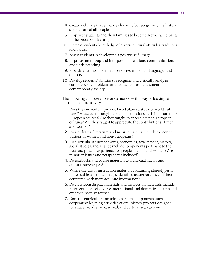- 4. Create a climate that enhances learning by recognizing the history and culture of all people.
- 5. Empower students and their families to become active participants in the process of learning.
- 6. Increase students' knowledge of diverse cultural attitudes, traditions, and values.
- 7. Assist students in developing a positive self-image.
- 8. Improve intergroup and interpersonal relations, communication, and understanding.
- 9. Provide an atmosphere that fosters respect for all languages and dialects.
- **10.** Develop students' abilities to recognize and critically analyze complex social problems and issues such as harassment in contemporary society.

The following considerations are a more specific way of looking at curricula for inclusivity.

- 1. Does the curriculum provide for a balanced study of world cultures? Are students taught about contributions deriving from non-European sources? Are they taught to appreciate non-European cultures? Are they taught to appreciate the contributions of men and women?
- 2. Do art, drama, literature, and music curricula include the contributions of women and non-Europeans?
- 3. Do curricula in current events, economics, government, history, social studies, and science include components pertinent to the past and present experiences of people of color and women? Are minority issues and perspectives included?
- 4. Do textbooks and course materials avoid sexual, racial, and cultural stereotypes?
- 5. Where the use of instruction materials containing stereotypes is unavoidable, are these images identified as stereotypes and then countered with more accurate information?
- 6. Do classroom display materials and instruction materials include representations of diverse international and domestic cultures and events in positive terms?
- 7. Does the curriculum include classroom components, such as cooperative learning activities or oral history projects, designed to reduce racial, ethnic, sexual, and cultural segregation?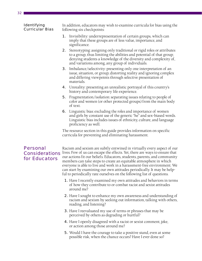### Identifying Curricular Bias

In addition, educators may wish to examine curricula for bias using the following six checkpoints:

- 1. Invisibility: underrepresentation of certain groups, which can imply that these groups are of less value, importance, and significance.
- 2. Stereotyping: assigning only traditional or rigid roles or attributes to a group, thus limiting the abilities and potential of that group; denying students a knowledge of the diversity and complexity of, and variations among, any group of individuals.
- **3.** Imbalance/selectivity: presenting only one interpretation of an issue, situation, or group; distorting reality and ignoring complex and differing viewpoints through selective presentation of materials.
- 4. Unreality: presenting an unrealistic portrayal of this country's history and contemporary life experience.
- 5. Fragmentation/isolation: separating issues relating to people of color and women (or other protected groups) from the main body of text.
- 6. Linguistic bias: excluding the roles and importance of women and girls by constant use of the generic "he" and sex-biased words. Linguistic bias includes issues of ethnicity, culture, and language proficiency as well.

The resource section in this guide provides information on specific curricula for preventing and eliminating harassment.

# Personal for Educators

Racism and sexism are subtly entwined in virtually every aspect of our **Considerations** lives. Few of us can escape the effects. Yet, there are ways to ensure that our actions fit our beliefs. Educators, students, parents, and community members can take steps to create an equitable atmosphere in which everyone is able to live and work in a harassment-free environment. We can start by examining our own attitudes periodically. It may be helpful to periodically rate ourselves on the following list of questions.

- 1. Have I recently examined my own attitudes and behaviors in terms of how they contribute to or combat racist and sexist attitudes around me?
- 2. Have I sought to enhance my own awareness and understanding of racism and sexism by seeking out information, talking with others, reading, and listening?
- **3.** Have I reevaluated my use of terms or phrases that may be perceived by others as degrading or hurtful?
- 4. Have I openly disagreed with a racist or sexist comment, joke, or action among those around me?
- 5. Would I have the courage to take a positive stand, even at some possible risk, when the chance occurs? Have I ever done so?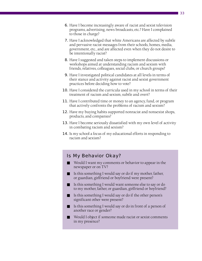- 6. Have I become increasingly aware of racist and sexist television programs, advertising, news broadcasts, etc.? Have I complained to those in charge?
- **7.** Have I acknowledged that white Americans are affected by subtle and pervasive racist messages from their schools, homes, media, government, etc., and are affected even when they do not desire to be intentionally racist?
- 8. Have I suggested and taken steps to implement discussions or workshops aimed at understanding racism and sexism with friends, relatives, colleagues, social clubs, or church groups?
- 9. Have I investigated political candidates at all levels in terms of their stance and activity against racist and sexist government practices before deciding how to vote?
- **10.** Have I considered the curricula used in my school in terms of their treatment of racism and sexism, subtle and overt?
- **11.** Have I contributed time or money to an agency, fund, or program that actively confronts the problems of racism and sexism?
- **12.** Have my buying habits supported nonracist and nonsexist shops, products, and companies?
- **13.** Have I become seriously dissatisfied with my own level of activity in combating racism and sexism?
- 14. Is my school a focus of my educational efforts in responding to racism and sexism?

# Is My Behavior Okay?

- Would I want my comments or behavior to appear in the newspaper or on TV?
- Is this something I would say or do if my mother, father, or guardian, girlfriend or boyfriend were present?
- Is this something I would want someone else to say or do to my mother, father, or guardian, girlfriend or boyfriend?
- Is this something I would say or do if the other person's significant other were present?
- Is this something I would say or do in front of a person of another race or gender?
- Would I object if someone made racist or sexist comments in my presence?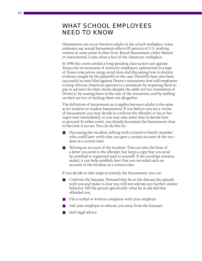# WHAT SCHOOL EMPLOYEES NEED TO KNOW

Harassment can occur between adults in the school workplace. Some estimates say sexual harassment affects 85 percent of U.S. working women at some point in their lives. Racial harassment, either blatant or institutional, is also often a fact of the American workplace.

In 1996 the courts settled a long-pending class-action suit against Texaco for its treatment of minority employees, epitomized in a tape of Texaco executives using racial slurs and discussing how to destroy evidence sought by the plaintiffs in the case. Plaintiffs have also been successful in suits filed against Denny's restaurants that told employees to keep African American patrons to a minimum by requiring them to pay in advance for their meals (despite the table-service orientation of Denny's), by seating them in the rear of the restaurant, and by stalling on their service or locking them out altogether.

The definition of harassment as it applies between adults is the same as for student-to-student harassment. If you believe you are a victim of harassment, you may decide to confront the offender or his or her supervisor immediately or you may take some time to decide how to proceed. In either event, you should document the harassment close to the time it occurs. You can do this by:

- Discussing the incident, talking with a friend or family member who could later verify that you gave a certain account of the incident at a certain time.
- Writing an account of the incident. This can take the form of a letter you send to the offender, but keep a copy that you send by certified or registered mail to yourself. If the envelope remains sealed, it can help establish later that you recorded such an account of the incident at a certain time.

If you decide to take steps to remedy the harassment, you can:

- Confront the harasser. Demand that he or she discuss the episode with you and make it clear you will not tolerate any further similar behavior. Tell the person specifically what he or she did that offended you.
- File a verbal or written complaint with your employer.
- Ask your employer to relocate you away from the harasser.
- Seek legal advice.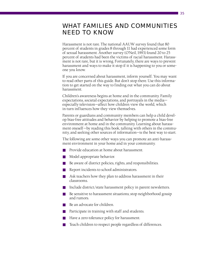# WHAT FAMILIES AND COMMUNITIES NEED TO KNOW

Harassment is not rare. The national AAUW survey found that 80 percent of students in grades 8 through 11 had experienced some form of sexual harassment. Another survey (O'Neil, 1993) found 20 to 25 percent of students had been the victims of racial harassment. Harassment is not rare, but it is wrong. Fortunately, there are ways to prevent harassment and ways to make it stop if it is happening to you or someone you know.

If you are concerned about harassment, inform yourself. You may want to read other parts of this guide. But don't stop there. Use this information to get started on the way to finding out what you can do about harassment.

Children's awareness begins at home and in the community. Family expectations, societal expectations, and portrayals in the media especially television—affect how children view the world, which in turn influences how they view themselves.

Parents or guardians and community members can help a child develop bias-free attitudes and behavior by helping to promote a bias-free environment at home and in the community. Learning about harassment oneself—by reading this book, talking with others in the community, and seeking other sources of information—is the best way to start.

The following are some other ways you can promote an anti-harassment environment in your home and in your community.

- Provide education at home about harassment.
- Model appropriate behavior.
- Be aware of district policies, rights, and responsibilities.
- Report incidents to school administrators.
- Ask teachers how they plan to address harassment in their classrooms.
- Include district/state harassment policy in parent newsletters.
- Be sensitive to harassment situations; stop neighborhood gossip and rumors.
- Be an advocate for children.
- Participate in training with staff and students.
- Have a zero tolerance policy for harassment.
- Teach children to respect people regardless of differences.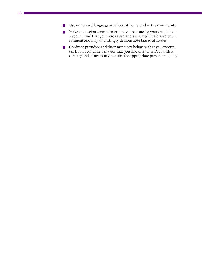- Use nonbiased language at school, at home, and in the community.
- Make a conscious commitment to compensate for your own biases. Keep in mind that you were raised and socialized in a biased environment and may unwittingly demonstrate biased attitudes.
- Confront prejudice and discriminatory behavior that you encounter. Do not condone behavior that you find offensive. Deal with it directly and, if necessary, contact the appropriate person or agency.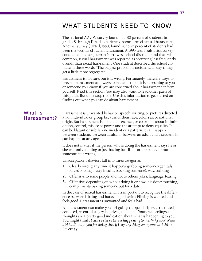# WHAT STUDENTS NEED TO KNOW

The national AAUW survey found that 80 percent of students in grades 8 through 11 had experienced some form of sexual harassment. Another survey (O'Neil, 1993) found 20 to 25 percent of students had been the victims of racial harassment. A 1995 teen health risk survey conducted in a large urban Northwest school district found that, while common, sexual harassment was reported as occurring less frequently overall than racial harassment. One student described the school climate in these words: "The biggest problem is racism. Each day things get a little more segregated....

Harassment is not rare, but it is wrong. Fortunately, there are ways to prevent harassment and ways to make it stop if it is happening to you or someone you know. If you are concerned about harassment, inform yourself. Read this section. You may also want to read other parts of this guide. But don't stop there. Use this information to get started on finding out what you can do about harassment.

# What Is Harassment?

Harassment is unwanted behavior, speech, writing, or pictures directed at an individual or group because of their race, color, sex, or national origin. But harassment is not about sex, race, or color. It is about intimidation, control, misuse of power, and the attempt to deny equality. It can be blatant or subtle, one incident or a pattern. It can happen between students, between adults, or between an adult and a student. It can happen at any age.

It does not matter if the person who is doing the harassment says he or she was only kidding or just having fun. If his or her behavior hurts someone, it is wrong.

Unacceptable behaviors fall into three categories:

- 1. Clearly wrong any time it happens: grabbing someone's genitals, forced kissing, nasty insults, blocking someone's way, stalking.
- **2.** Offensive to some people and not to others: jokes, language, teasing.
- **3.** Offensive, depending on who is doing it or how it is done: touching, compliments, asking someone out for a date.

In the case of sexual harassment, it is important to recognize the difference between flirting and harassing behavior. Flirting is wanted and feels good. Harassment is unwanted and feels bad.

All harassment can make you feel guilty, trapped, helpless, frustrated, confused, resentful, angry, hopeless, and alone. Your own feelings and thoughts are a pretty good indication about what is happening to you. You might think: *I can't believe this is happening to me. Why me? What did I do? I hate you for doing this. If I say anything, everyone will think I'm crazy.*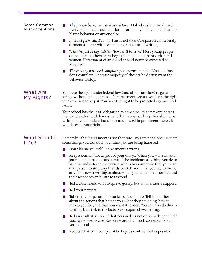| <b>Some Common</b><br><b>Misconceptions</b> | The person being harassed asked for it. Nobody asks to be abused.<br>Every person is accountable for his or her own behavior and cannot<br>blame behavior on anyone else.                                                                                                                                                                                                                              |
|---------------------------------------------|--------------------------------------------------------------------------------------------------------------------------------------------------------------------------------------------------------------------------------------------------------------------------------------------------------------------------------------------------------------------------------------------------------|
|                                             | If it's not physical, it's okay. This is not true. One person can severely<br>torment another with comments or looks or in writing.                                                                                                                                                                                                                                                                    |
|                                             | "They're just being kids" or "Boys will be boys." Most young people<br>do not harass others. Most boys and men do not harass girls and<br>women. Harassment of any kind should never be expected or<br>accepted.                                                                                                                                                                                       |
|                                             | Those being harassed complain just to cause trouble. Most victims<br>×.<br>don't complain. The vast majority of those who do just want the<br>behavior to stop.                                                                                                                                                                                                                                        |
| <b>What Are</b><br><b>My Rights?</b>        | You have the right under federal law (and often state law) to go to<br>school without being harassed. If harassment occurs, you have the right<br>to take action to stop it. You have the right to be protected against retal-<br>iation.                                                                                                                                                              |
|                                             | Your school has the legal obligation to have a policy to prevent harass-<br>ment and to deal with harassment if it happens. This policy should be<br>written in your student handbook and posted in prominent places. It<br>will describe your rights.                                                                                                                                                 |
|                                             |                                                                                                                                                                                                                                                                                                                                                                                                        |
| <b>What Should</b>                          | Remember that harassment is not that rare-you are not alone. Here are<br>some things you can do if you think you are being harassed:                                                                                                                                                                                                                                                                   |
| I Do?                                       | Don't blame yourself-harassment is wrong.                                                                                                                                                                                                                                                                                                                                                              |
|                                             | Keep a journal (not as part of your diary). When you write in your<br>journal, note the date and time of the incidents; anything you do or<br>say that indicates to the person who is harassing you that you want<br>that person to stop; any friends you tell and what you say to them;<br>any reports—in writing or aloud—that you make to authorities and<br>their responses or failure to respond. |
|                                             | Tell a close friend—not to spread gossip, but to have moral support.                                                                                                                                                                                                                                                                                                                                   |
|                                             | Tell your parents.                                                                                                                                                                                                                                                                                                                                                                                     |
|                                             | Talk to the perpetrator if you feel safe doing so. Tell him or her<br>about the actions that bother you, what they are doing, how it<br>makes you feel, and that you want it to stop. You can also do this in<br>writing, but stick to the facts. Keep copies of everything.                                                                                                                           |
|                                             | Tell an adult at school. If that person does not do something to help<br><b>The Second</b><br>you, tell someone else. Keep a record of all such conversations in<br>your journal.                                                                                                                                                                                                                      |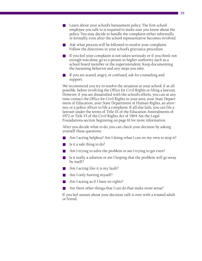- Learn about your school's harassment policy. The first school employee you talk to is required to make sure you know about the policy. You may decide to handle the complaint either informally or formally, even after the school representative becomes involved.
- Ask what process will be followed to resolve your complaint. Follow the directions in your school's grievance procedure.
- $\blacksquare$  If you feel your complaint is not taken seriously or if you think not enough was done, go to a person in higher authority such as a school board member or the superintendent. Keep documenting the harassing behavior and any steps you take.
- If you are scared, angry, or confused, ask for counseling and support.

We recommend you try to resolve the situation at your school, if at all possible, before involving the Office for Civil Rights or filing a lawsuit. However, if you are dissatisfied with the school's efforts, you can at any time contact the Office for Civil Rights in your area, your State Department of Education, your State Department of Human Rights, an attorney, or a police officer to file a complaint. If all else fails, you can file a lawsuit under the terms of Title IX of the Education Amendments of 1972 or Title VI of the Civil Rights Act of 1964. See the Legal Foundations section beginning on page 61 for more information.

After you decide what to do, you can check your decision by asking yourself these questions:

- Am I acting helpless? Am I doing what I can on my own to stop it?
- Is it a safe thing to do?
- Am I trying to solve the problem or am I trying to get even?
- Is it really a solution or am I hoping that the problem will go away by itself?
- $\blacksquare$  Am I acting like it is my fault?
- Am I only hurting myself?
- Am I acting as if I have no rights?
- Are there other things that I can do that make more sense?

If you feel unsure about your decision, talk it over with a trusted adult or friend.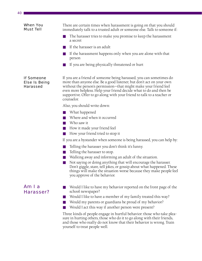| <b>When You</b><br><b>Must Tell</b>                          | There are certain times when harassment is going on that you should<br>immediately talk to a trusted adult or someone else. Talk to someone if:<br>The harasser tries to make you promise to keep the harassment<br>a secret<br>If the harasser is an adult                                                                                                                   |
|--------------------------------------------------------------|-------------------------------------------------------------------------------------------------------------------------------------------------------------------------------------------------------------------------------------------------------------------------------------------------------------------------------------------------------------------------------|
|                                                              | If the harassment happens only when you are alone with that<br>person                                                                                                                                                                                                                                                                                                         |
|                                                              | If you are being physically threatened or hurt                                                                                                                                                                                                                                                                                                                                |
| <b>If Someone</b><br><b>Else Is Being</b><br><b>Harassed</b> | If you are a friend of someone being harassed, you can sometimes do<br>more than anyone else. Be a good listener, but don't act on your own<br>without the person's permission-that might make your friend feel<br>even more helpless. Help your friend decide what to do and then be<br>supportive. Offer to go along with your friend to talk to a teacher or<br>counselor. |
|                                                              | Also, you should write down:                                                                                                                                                                                                                                                                                                                                                  |
|                                                              | What happened<br>Where and when it occurred<br>Who saw it                                                                                                                                                                                                                                                                                                                     |
|                                                              | How it made your friend feel                                                                                                                                                                                                                                                                                                                                                  |
|                                                              | How your friend tried to stop it                                                                                                                                                                                                                                                                                                                                              |
|                                                              | If you are a bystander when someone is being harassed, you can help by:                                                                                                                                                                                                                                                                                                       |
|                                                              | Telling the harasser you don't think it's funny.                                                                                                                                                                                                                                                                                                                              |
|                                                              | Telling the harasser to stop.<br>Walking away and informing an adult of the situation.                                                                                                                                                                                                                                                                                        |
|                                                              | Not saying or doing anything that will encourage the harasser.<br>Don't giggle, stare, tell jokes, or gossip about what happened. These<br>things will make the situation worse because they make people feel<br>you approve of the behavior.                                                                                                                                 |
| Am I a<br>Harasser?                                          | Would I like to have my behavior reported on the front page of the<br>school newspaper?<br>Would I like to have a member of my family treated this way?<br>Would my parents or guardians be proud of my behavior?<br>Would I act this way if another person were present?                                                                                                     |
|                                                              | Three kinds of people engage in hurtful behavior: those who take plea-<br>sure in hurting others, those who do it to go along with their friends,<br>and those who really do not know that their behavior is wrong. Train<br>yourself to treat people well.                                                                                                                   |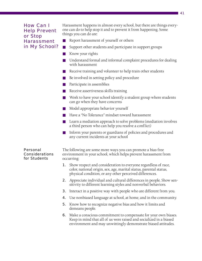# How Can I Help Prevent or Stop Harassment in My School?

Harassment happens in almost every school, but there are things everyone can do to help stop it and to prevent it from happening. Some things you can do are:

- Report harassment of yourself or others
- Support other students and participate in support groups
- Know your rights
- Understand formal and informal complaint procedures for dealing with harassment
- Receive training and volunteer to help train other students
- Be involved in setting policy and procedure
- Participate in assemblies
- Receive assertiveness skills training
- Work to have your school identify a student group where students can go when they have concerns
- Model appropriate behavior yourself
- Have a "No Tolerance" mindset toward harassment
- Learn a mediation approach to solve problems (mediation involves a third person who can help you resolve a conflict)
- Inform your parents or guardians of policies and procedures and any current incidents at your school

# Personal Considerations for Students

The following are some more ways you can promote a bias-free environment in your school, which helps prevent harassment from occurring:

- **1.** Show respect and consideration to everyone regardless of race, color, national origin, sex, age, marital status, parental status, physical condition, or any other perceived differences.
- **2.** Appreciate individual and cultural differences in people. Show sensitivity to different learning styles and nonverbal behaviors.
- **3.** Interact in a positive way with people who are different from you.
- 4. Use nonbiased language at school, at home, and in the community.
- **5.** Know how to recognize negative bias and how it limits and demeans people.
- **6.** Make a conscious commitment to compensate for your own biases. Keep in mind that all of us were raised and socialized in a biased environment and may unwittingly demonstrate biased attitudes.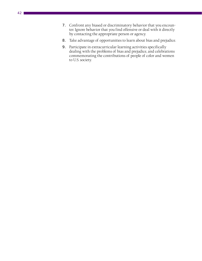- 7. Confront any biased or discriminatory behavior that you encounter. Ignore behavior that you find offensive or deal with it directly by contacting the appropriate person or agency.
- 8. Take advantage of opportunities to learn about bias and prejudice.
- **9.** Participate in extracurricular learning activities specifically dealing with the problems of bias and prejudice, and celebrations commemorating the contributions of people of color and women to U.S. society.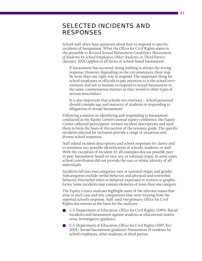# SELECTED INCIDENTS AND RESPONSES

School staff often have questions about how to respond to specific incidents of harassment. What the Office for Civil Rights states in the preamble to *Revised Sexual Harassment Guidelines: Harassment of Students by School Employees, Other Students, or Third Parties* (January 2001) applies to all forms of school-based harassment:

If harassment has occurred, doing nothing is always the wrong response. However, depending on the circumstances, there may be more than one right way to respond. The important thing for school employees or officials to pay attention to is the school environment and not to hesitate to respond to sexual harassment in the same, commonsense manner as they would to other types of serious misconduct.

It is also important that schools not overreact.... School personnel should consider age and maturity of students in responding to allegations of sexual harassment.

Following a session on identifying and responding to harassment conducted at the Equity Center's annual equity conference, the Equity Center collected participants' written incident descriptions and used them to form the basis of this section of the resource guide. The specific incidents selected for inclusion provide a range of situations and diverse school responses.

Staff edited incident descriptions and school responses for clarity and to minimize any possible identification of schools, students, or staff. With the exception of Incident 10, all examples discuss possible peerto-peer harassment based on race, sex, or national origin. In some cases, school contributors did not provide the race or ethnic identity of all individuals.

Incidents fall into two categories: race or national origin, and gender. Subcategories include verbal behavior, and physical and nonverbal behavior. Nonverbal refers to behavior expressed in written or graphic forms. Some incidents may contain elements of more than one category.

The Equity Center analyses highlight some of the relevant issues that arise in each case and any components that were missing from the reported school's response. Staff used two primary Office for Civil Rights documents as the basis for the analyses:

- U.S. Department of Education, Office for Civil Rights. (1994). Racial incidents and harassment against students at educational institutions; Investigative guidance.
- U.S. Department of Education, Office for Civil Rights (1997; Rev. 2001). Sexual harassment guidance: Harassment of students by school employees, other students, or third parties.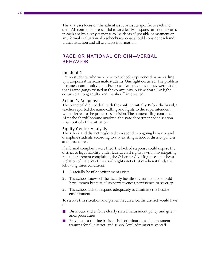The analyses focus on the salient issue or issues specific to each incident. All components essential to an effective response are not repeated in each analysis. Any response to incidents of possible harassment or any formal evaluation of a school's response should consider each individual situation and all available information.

# RACE OR NATIONAL ORIGIN—VERBAL BEHAVIOR

### Incident 1

Latino students, who were new to a school, experienced name-calling by European American male students. One fight occurred. The problem became a community issue. European Americans said they were afraid that Latino gangs existed in the community. A New Year's Eve fight occurred among adults, and the sheriff intervened.

### School's Response

The principal did not deal with the conflict initially. Before the brawl, a teacher reported the name-calling and fights to the superintendent, who deferred to the principal's decision. The name-calling continued. After the sheriff became involved, the state department of education was notified of the situation.

# Equity Center Analysis

The school and district neglected to respond to ongoing behavior and discipline students according to any existing school or district policies and procedures.

If a formal complaint were filed, the lack of response could expose the district to legal liability under federal civil rights laws. In investigating racial harassment complaints, the Office for Civil Rights establishes a violation of Title VI of the Civil Rights Act of 1964 when it finds the following three conditions:

- **1.** A racially hostile environment exists
- **2.** The school knows of the racially hostile environment or should have known because of its pervasiveness, persistence, or severity
- **3.** The school fails to respond adequately to eliminate the hostile environment

To resolve this situation and prevent recurrence, the district would have to:

- Distribute and enforce clearly stated harassment policy and grievance procedures
- Provide on a routine basis anti-discrimination and harassment training for all district- and school-level administrative staff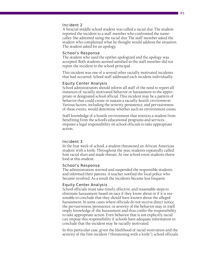A biracial middle school student was called a racial slur. The student reported the incident to a staff member who confronted the namecaller. She admitted using the racial slur. The staff member asked the student who complained what he thought would address the situation. The student asked for an apology.

### School's Response

The student who used the epithet apologized and the apology was accepted. Both students seemed satisfied so the staff member did not report the incident to the school principal.

This incident was one of a several other racially motivated incidents that had occurred. School staff addressed each incident individually.

### Equity Center Analysis

School administrators should inform all staff of the need to report all instances of racially motivated behavior or harassment to the appropriate or designated school official. This incident may be a pattern of behavior that could create or sustain a racially *hostile environment*. Various factors, including the severity, persistence, and pervasiveness of these events, would determine whether such an environment exists.

Staff knowledge of a hostile environment that restricts a student from benefiting from the school's educational programs and services imposes a legal responsibility on school officials to take appropriate action.

### Incident 3

In the first week of school, a student threatened an African American student with a knife. Throughout the year, students repeatedly called him racial slurs and made threats. At one school event students threw food at this student.

### School's Response

The administration warned and suspended the responsible students and informed their parents. A teacher notified the local police who became involved. As a result the incidents became less frequent.

# Equity Center Analysis

School officials must take timely, effective, and reasonable steps to eliminate harassment based on race if they know about or if it is reasonable to conclude that they *should* have known about the alleged harassment. In some cases where officials do not receive direct notice, the pervasiveness, persistence, or severity of the behavior may in itself imply knowledge of the harassment and thus confer the responsibility to take appropriate action. Even behavior that is not explicitly racial can impose this responsibility if schools have adequate information to conclude that the incident may be racially motivated.

In this particular case, given the likelihood of racial motivation and the severity of the first incident ("threatening with a knife"), school officials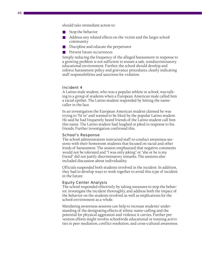should take immediate action to:

- Stop the behavior
- Address any related effects on the victim and the larger school community
- Discipline and educate the perpetrator
- Prevent future occurrences

Simply reducing the frequency of the alleged harassment in response to a growing problem is not sufficient to ensure a safe, nondiscriminatory educational environment. Further, the school should develop and enforce harassment policy and grievance procedures, clearly indicating staff responsibilities and sanctions for violation.

# Incident 4

A Latino male student, who was a popular athlete in school, was talking to a group of students when a European American male called him a racial epithet. The Latino student responded by hitting the namecaller in the face.

In an investigation the European American student claimed he was trying to "fit in" and wanted to be liked by the popular Latino student. He said he had frequently heard friends of the Latino student call him this name. The Latino student had laughed or joked in response to his friends. Further investigation confirmed this.

### School's Response

The school administration instructed staff to conduct awareness sessions with their homeroom students that focused on racial and other kinds of harassment. The session emphasized that negative comments would not be tolerated and "I was only joking" or "she or he is my friend" did not justify discriminatory remarks. The sessions also included discussion about individuality.

Officials suspended both students involved in the incident. In addition, they had to develop ways to work together to avoid this type of incident in the future.

### Equity Center Analysis

The school responded effectively by taking measures to stop the behavior, investigate the incident thoroughly, and address both the impact of the behavior on the students involved as well as implications for the school environment as a whole.

Mandating awareness sessions can help to increase students' understanding of the denigrating effects of ethnic name-calling and the potential for physical aggression and violence it carries. Further prevention efforts might involve schoolwide educational or training activities in peer mediation, conflict resolution, and cross-cultural awareness.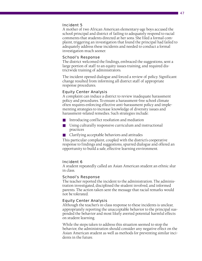A mother of two African American elementary-age boys accused the school principal and district of failing to adequately respond to racial comments that students directed at her sons. She filed a formal complaint, triggering an investigation that found the principal had failed to adequately address these incidents and needed to conduct a formal investigation much sooner.

### School's Response

The district welcomed the findings, embraced the suggestions, sent a large portion of staff to an equity issues training, and required districtwide training of administrators.

The incident opened dialogue and forced a review of policy. Significant change resulted from informing all district staff of appropriate response procedures.

### Equity Center Analysis

A complaint can induce a district to review inadequate harassment policy and procedures. To ensure a harassment-free school climate often requires enforcing effective anti-harassment policy and implementing strategies to increase knowledge of diversity issues and harassment-related remedies. Such strategies include:

- Introducing conflict resolution and mediation
- Using culturally responsive curriculum and instructional practices
- Clarifying acceptable behaviors and attitudes

This particular complaint, coupled with the district's cooperative response to findings and suggestions, spurred dialogue and offered an opportunity to build a safe, effective learning environment.

### Incident 6

A student repeatedly called an Asian American student an ethnic slur in class.

### School's Response

The teacher reported the incident to the administration. The administration investigated, disciplined the student involved, and informed parents. The action taken sent the message that racial remarks would not be tolerated.

### Equity Center Analysis

Although the teacher's in-class response to these incidents is unclear, appropriately reporting the unacceptable behavior to the principal suspended the behavior and most likely averted potential harmful effects on student learning.

While the steps taken to address this situation seemed to stop the behavior, the administration should consider any negative effect on the Asian American student as well as methods for preventing similar incidents in the future.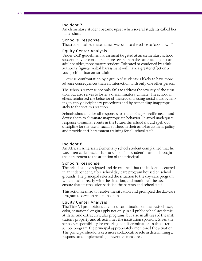An elementary student became upset when several students called her racial slurs.

### School's Response

The student called these names was sent to the office to "cool down."

#### Equity Center Analysis

Under OCR guidelines, harassment targeted at an elementary school student may be considered more severe than the same act against an adult or older, more mature student. Tolerated or condoned by adult authority figures, verbal harassment will have a greater effect on a young child than on an adult.

Likewise, confrontation by a group of students is likely to have more adverse consequences than an interaction with only one other person.

The school's response not only fails to address the severity of the situation, but also serves to foster a discriminatory climate. The school, in effect, reinforced the behavior of the students using racial slurs by failing to apply disciplinary procedures and by responding inappropriately to the victim's reaction.

Schools should tailor all responses to students' age-specific needs and devise them to eliminate inappropriate behavior. To avoid inadequate response to similar events in the future, the school should spell out discipline for the use of racial epithets in their anti-harassment policy and provide anti-harassment training for all school staff.

### Incident 8

An African American elementary school student complained that he was often called racial slurs at school. The student's parents brought the harassment to the attention of the principal.

#### School's Response

The principal investigated and determined that the incident occurred in an independent, after-school day-care program housed on school grounds. The principal referred the situation to the day-care program, which dealt directly with the situation, and monitored the case to ensure that its resolution satisfied the parents and school staff.

This action seemed to resolve the situation and prompted the day-care program to develop related policies.

#### Equity Center Analysis

The Title VI prohibitions against discrimination on the basis of race, color, or national origin apply not only in all public school academic, athletic, and extracurricular programs, but also in all uses of the institution's property and all activities the institution sponsors. Given the school's responsibility for ensuring nondiscrimination in this afterschool program, the principal appropriately monitored the situation. The principal should take a more collaborative role in determining a response and implementing preventive measures.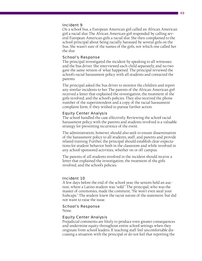On a school bus, a European American girl called an African American girl a racial slur. The African American girl responded by calling several European American girls a racial slur. She then complained to the school principal about being racially harassed by several girls on the bus. She wasn't sure of the names of the girls, nor which one called her the slur.

### School's Response

The principal investigated the incident by speaking to all witnesses and the bus driver. She interviewed each child separately, and no two gave the same version of what happened. The principal reviewed the school's racial harassment policy with all students and contacted the parents.

The principal asked the bus driver to monitor the children and report any similar incidents to her. The parents of the African American girl received a letter that explained the investigation, the treatment of the girls involved, and the school's policies. They also received the phone number of the superintendent and a copy of the racial harassment complaint form, if they wished to pursue further action.

### Equity Center Analysis

The school handled the case effectively. Reviewing the school racial harassment policy with the parents and students involved is a valuable strategy for preventing recurrence of the event.

The administration, however, should also seek to ensure dissemination of the harassment policy to all students, staff, and parents and provide related training. Further, the principal should establish clear expectations for student behavior both in the classroom and while involved in any school-sponsored activities, whether on or off campus.

The parents of *all* students involved in the incident should receive a letter that explained the investigation, the treatment of the girls involved, and the school's policies.

### Incident 10

A few days before the end of the school year, the seniors held an auction, where a Latino student was "sold." The principal, who was the master of ceremonies, made the comment, "He won't even steal your hubcaps." The student knew the racist nature of the statement, but did not want to raise the issue.

### School's Response

None.

### Equity Center Analysis

Prejudicial comments are likely to produce even greater consequences and undermine equity throughout entire school settings when they originate from school leaders. If teaching staff feel uncomfortable discussing a situation with the principal or do not feel that reporting the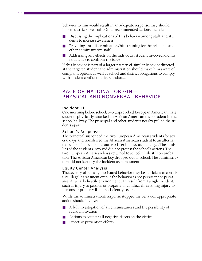behavior to him would result in an adequate response, they should inform district-level staff. Other recommended actions include:

- Discussing the implications of this behavior among staff and students to increase awareness
- Providing anti-discrimination/bias training for the principal and other administrative staff
- Addressing any effects on the individual student involved and his reluctance to confront the issue

If this behavior is part of a larger pattern of similar behavior directed at the targeted student, the administration should make him aware of complaint options as well as school and district obligations to comply with student confidentiality standards.

# RACE OR NATIONAL ORIGIN— PHYSICAL AND NONVERBAL BEHAVIOR

# Incident 11

One morning before school, two unprovoked European American male students physically attacked an African American male student in the school hallway. The principal and other students nearby pulled the students apart.

# School's Response

The principal suspended the two European American students for several days and transferred the African American student to an alternative school. The school resource officer filed assault charges. The families of the students involved did not protest the school's actions. The two European American boys returned to school while still on probation. The African American boy dropped out of school. The administration did not identify the incident as harassment.

# Equity Center Analysis

The severity of racially motivated behavior may be sufficient to constitute illegal harassment even if the behavior is not persistent or pervasive. A racially hostile environment can result from a single incident, such as injury to persons or property or conduct threatening injury to persons or property if it is sufficiently severe.

While the administration's response stopped the behavior, appropriate action should involve:

- A full investigation of all circumstances and the possibility of racial motivation
- Actions to counter all negative effects on the victim
- Proactive prevention efforts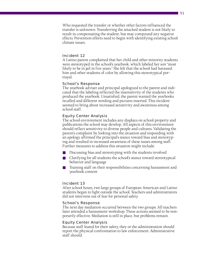Who requested the transfer or whether other factors influenced the transfer is unknown. Transferring the attacked student is not likely to result in compensating the student, but may compound any negative effects. Prevention efforts need to begin with identifying existing school climate issues.

# Incident 12

A Latino parent complained that her child and other minority students were stereotyped in the school's yearbook, which labeled her son "most likely to be in jail in five years." She felt that the school had harassed him and other students of color by allowing this stereotypical portrayal.

# School's Response

The yearbook adviser and principal apologized to the parent and indicated that the labeling reflected the insensitivity of the students who produced the yearbook. Unsatisfied, the parent wanted the yearbooks recalled and different wording and pictures inserted. This incident seemed to bring about increased sensitivity and awareness among school staff.

# Equity Center Analysis

The school environment includes any displays on school property and publications the school may develop. All aspects of this environment should reflect sensitivity to diverse people and cultures. Validating the parent's complaint by looking into the situation and responding with an apology affirmed the principal's stance toward bias and stereotyping and resulted in increased awareness of these issues among staff. Further measures to address this situation might include:

- Discussing bias and stereotyping with the students involved
- Clarifying for all students the school's stance toward stereotypical behavior and language
- Training staff on their responsibilities concerning harassment and yearbook content

# Incident 13

After school hours, two large groups of European American and Latino students began to fight outside the school. Teachers and administrators did not intervene out of fear for personal safety.

# School's Response

The next day mediation occurred between the two groups. All teachers later attended a harassment workshop. These actions seemed to be temporarily effective. Mediation is still in place, but problems remain.

# Equity Center Analysis

Because staff feared for their safety, they or the administration should report the physical confrontation to law enforcement. Administrative staff should: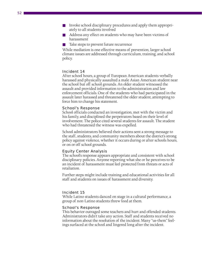- Invoke school disciplinary procedures and apply them appropriately to all students involved
- Address any effect on students who may have been victims of harassment
- Take steps to prevent future recurrence

While mediation is one effective means of prevention, larger school climate issues are addressed through curriculum, training, and school policy.

# Incident 14

After school hours, a group of European American students verbally harassed and physically assaulted a male Asian American student near the school but off school grounds. An older student witnessed the assault and provided information to the administration and law enforcement officials. One of the students who had participated in the assault later harassed and threatened the older student, attempting to force him to change his statement.

# School's Response

School officials conducted an investigation, met with the victim and his family, and disciplined the perpetrators based on their level of involvement. The police cited several students for assault. The student who had threatened the witness was expelled.

School administrators believed their actions sent a strong message to the staff, students, and community members about the district's strong policy against violence, whether it occurs during or after schools hours, or on or off school grounds.

# Equity Center Analysis

The school's response appears appropriate and consistent with school disciplinary policies. Anyone reporting what she or he perceives to be an incident of harassment must feel protected from threats or acts of retaliation.

Further steps might include training and educational activities for all staff and students on issues of harassment and diversity.

# Incident 15

While Latino students danced on stage in a cultural performance, a group of non-Latino students threw food at them.

# School's Response

This behavior outraged some teachers and hurt and offended students. Administrators didn't take any action. Staff and students received no information about the resolution of the incident. Many "us-them" feelings surfaced at the school and lingered long after the incident.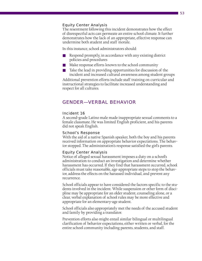# Equity Center Analysis

The resentment following this incident demonstrates how the effect of disrespectful acts can permeate an entire school climate. It further demonstrates how the lack of an appropriate, effective response can undermine both student and staff morale.

In this instance, school administrators should:

- Respond promptly, in accordance with any existing district policies and procedures
- Make response efforts known to the school community
- Take the lead in providing opportunities for discussion of the incident and increased cultural awareness among student groups

Additional prevention efforts include staff training on curricular and instructional strategies to facilitate increased understanding and respect for all cultures.

# GENDER—VERBAL BEHAVIOR

# Incident 16

A second-grade Latino male made inappropriate sexual comments to a female classmate. He was limited English proficient, and his parents did not speak English.

# School's Response

With the aid of a native Spanish speaker, both the boy and his parents received information on appropriate behavior expectations. The behavior stopped. The administration's response satisfied the girl's parents.

# Equity Center Analysis

Notice of alleged sexual harassment imposes a duty on a school's administration to conduct an investigation and determine whether harassment has occurred. If they find that harassment occurred, school officials must take reasonable, age-appropriate steps to stop the behavior, address the effects on the harassed individual, and prevent any recurrence.

School officials appear to have considered the factors specific to the students involved in the incident. While suspension or other form of discipline may be appropriate for an older student, counseling alone, or a clear, verbal explanation of school rules may be more effective and appropriate for an elementary-age student.

School officials also appropriately met the needs of the accused student and family by providing a translator.

Prevention efforts also might entail similar bilingual or multilingual clarification of behavior expectations, either written or verbal, for the entire school community including parents, students, and staff.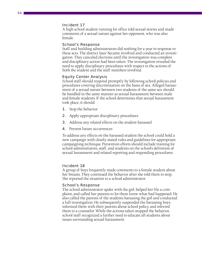A high school student running for office told sexual stories and made comments of a sexual nature against her opponent, who was also female.

### School's Response

Staff and building administrators did nothing for a year in response to these acts. The district later became involved and conducted an investigation. They canceled elections until the investigation was complete and disciplinary action had been taken. The investigation revealed the need to apply disciplinary procedures with respect to the actions of both the student and the staff members involved.

### Equity Center Analysis

School staff should respond promptly by following school policies and procedures covering discrimination on the basis of sex. Alleged harassment of a sexual nature between two students of the same sex should be handled in the same manner as sexual harassment between male and female students. If the school determines that sexual harassment took place, it should:

- **1.** Stop the behavior
- **2.** Apply appropriate disciplinary procedures
- **3.** Address any related effects on the student harassed
- 4. Prevent future occurrences

To address any effects on the harassed student the school could hold a new campaign with clearly stated rules and guidelines for appropriate campaigning technique. Prevention efforts should include training for school administrators, staff, and students on the school's definition of sexual harassment and related reporting and responding procedures.

### Incident 18

A group of boys frequently made comments to a female student about her breasts. They continued the behavior after she told them to stop. She reported the situation to a school administrator.

#### School's Response

The school administrator spoke with the girl, helped her file a complaint, and called her parents to let them know what had happened. He also called the parents of the students harassing the girl and conducted a full investigation. He subsequently suspended the harassing boys, informed them with their parents about school policy, and referred them to a counselor. While the actions taken stopped the behavior, school staff recognized a further need to educate all students about issues surrounding sexual harassment.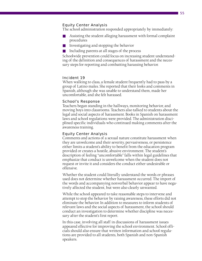# Equity Center Analysis

The school administration responded appropriately by immediately:

- Assisting the student alleging harassment with formal complaint procedures
- Investigating and stopping the behavior
- Including parents at all stages of the process

Schoolwide prevention could focus on increasing student understanding of the definition and consequences of harassment and the necessary steps for reporting and combatting harassing behavior.

# Incident 19

When walking to class, a female student frequently had to pass by a group of Latino males. She reported that their looks and comments in Spanish, although she was unable to understand them, made her uncomfortable, and she felt harassed.

# School's Response

Teachers began standing in the hallways, monitoring behavior, and moving boys into classrooms. Teachers also talked to students about the legal and social aspects of harassment. Books in Spanish on harassment laws and school regulations were provided. The administration disciplined specific individuals who continued making comments after the awareness training.

# Equity Center Analysis

Comments and actions of a sexual nature constitute harassment when they are unwelcome and their severity, pervasiveness, or persistence either limits a student's ability to benefit from the education program provided or creates a hostile, abusive environment. The student's description of feeling "uncomfortable" falls within legal guidelines that emphasize that conduct is unwelcome when the student does not request or invite it and considers the conduct either undesirable or offensive.

Whether the student could literally understand the words or phrases used does not determine whether harassment occurred. The import of the words and accompanying nonverbal behavior appear to have negatively affected the student, but were also clearly unwanted.

While the school appeared to take reasonable steps to intervene and attempt to stop the behavior by raising awareness, these efforts did not eliminate the behavior. In addition to measures to inform students of relevant laws and the social aspects of harassment, the school should conduct an investigation to determine whether discipline was necessary after the student's first report.

In this case, involving all staff in discussions of harassment issues appeared effective for improving the school environment. School officials should also ensure that written information and school regulations are provided to all students, both Spanish and non-Spanish speakers.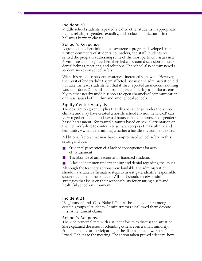Middle school students repeatedly called other students inappropriate names relating to gender, sexuality, and socioeconomic status in the hallways between classes.

### School's Response

A group of teachers initiated an awareness program developed from written comments of students, counselors, and staff. Students presented the program addressing some of the most pertinent issues in a 40-minute assembly. Teachers then led classroom discussions on students' feelings, reactions, and solutions. The school also administered a student survey on school safety.

With this response, student awareness increased somewhat. However, the worst offenders didn't seem affected. Because the administration did not take the lead, students felt that if they reported an incident, nothing would be done. One staff member suggested offering a similar assembly to other nearby middle schools to open channels of communication on these issues both within and among local schools.

### Equity Center Analysis

The description given implies that this behavior pervades the school climate and may have created a hostile school environment. OCR can view together incidents of sexual harassment and non-sexual, genderbased harassment—for example, taunts based on sexual orientation or the victim's failure to conform to sex stereotypes of masculinity and femininity—when determining whether a hostile environment exists.

Additional factors that may have compromised school safety in this setting include:

- Students' perception of a lack of consequences for acts of harassment
- The absence of any recourse for harassed students
- A lack of common understanding and denial regarding the issues

Although the teachers' actions were laudable, the administration should have taken affirmative steps to investigate, identify responsible students, and stop the behavior. All staff should receive training in strategies that focus on their responsibility for ensuring a safe and healthful school environment.

### Incident 21

"Big Johnson" and "Coed Naked" T-shirts became popular among certain groups of students. Administrators disallowed them despite First Amendment claims.

#### School's Response

The vice-principal met with a student forum to discuss the situation. She explained the issue of offending others, even a small minority. Students balked at participating in the discussion and wore the "outlawed" T-shirts to the meeting. The action taken proved effective, how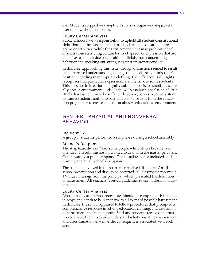ever. Students stopped wearing the T-shirts or began wearing jackets over them without complaint.

### Equity Center Analysis

Public schools have a responsibility to uphold all student constitutional rights both in the classroom and in school-related educational programs or activities. While the First Amendment may prohibit school officials from restricting certain forms of speech or expression that are offensive to some, it does not prohibit officials from condemning behavior and speaking out strongly against improper conduct.

In this case, approaching this issue through discussion seemed to result in an increased understanding among students of the administrator's position regarding inappropriate clothing. The Office for Civil Rights recognizes that particular expressions are offensive to some students. This does not in itself form a legally sufficient basis to establish a sexually hostile environment under Title IX. To establish a violation of Title IX, the harassment must be sufficiently severe, pervasive, or persistent to limit a student's ability to participate in or benefit from the education program or to create a hostile or abusive educational environment.

# GENDER—PHYSICAL AND NONVERBAL BEHAVIOR

### Incident 22

A group of students performed a strip tease during a school assembly.

### School's Response

The strip tease did not "faze" some people while others became very offended. The administration wanted to deal with the matter privately. Others wanted a public response. The actual response included staff training and an all-school discussion.

The students involved in the strip tease received discipline. An allschool presentation and discussion occurred. All classrooms received a TV video message from the principal, which presented the definition of harassment. All teachers received guidelines to use in classroom discussions.

#### Equity Center Analysis

District policy and school procedures should be comprehensive enough in scope and depth to be responsive to all forms of possible harassment. In this case, the school appeared to follow procedures that prompted a comprehensive response involving education, training, and discussion of harassment and related topics. Staff and students received information to enable them to clearly understand what constitutes harassment and discrimination as well as the consequences associated with such acts.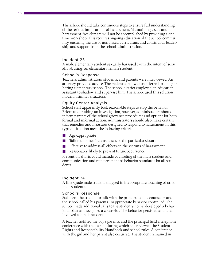The school should take continuous steps to ensure full understanding of the serious implications of harassment. Maintaining a safe and harassment-free climate will not be accomplished by providing a onetime workshop. This requires ongoing education of the school community, ensuring the use of nonbiased curriculum, and continuous leadership and support from the school administration.

### Incident 23

A male elementary student sexually harassed (with the intent of sexually abusing) an elementary female student.

### School's Response

Teachers, administrators, students, and parents were interviewed. An attorney provided advice. The male student was transferred to a neighboring elementary school. The school district employed an education assistant to shadow and supervise him. The school used this solution model in similar situations.

# Equity Center Analysis

School staff apparently took reasonable steps to stop the behavior. Before undertaking an investigation, however, administrators should inform parents of the school grievance procedures and options for both formal and informal action. Administrators should also make certain that remedies and measures designed to respond to harassment in this type of situation meet the following criteria:

- Age-appropriate
- Tailored to the circumstances of the particular situation
- $\blacksquare$  Effective to address all effects on the victims of harassment

■ Reasonably likely to prevent future occurrence

Prevention efforts could include counseling of the male student and communication and reinforcement of behavior standards for all students.

### Incident 24

A first-grade male student engaged in inappropriate touching of other male students.

### School's Response

Staff sent the student to talk with the principal and a counselor, and the school called his parents. Inappropriate behavior continued. The school made additional calls to the student's home, developed a behavioral plan, and assigned a counselor. The behavior persisted and later involved a female student.

A teacher notified the boy's parents, and the principal held a telephone conference with the parent during which she reviewed the Student Rights and Responsibility Handbook and school rules. A conference with the girl and her parent also occurred. The student remained in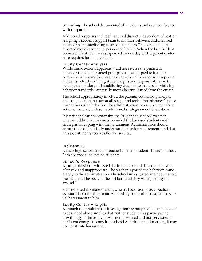counseling. The school documented all incidents and each conference with the parent.

Additional responses included required districtwide student education, assigning a student support team to monitor behavior, and a revised behavior plan establishing clear consequences. The parents ignored repeated requests for an in-person conference. When the last incident occurred, the student was suspended for one day with a parent conference required for reinstatement.

### Equity Center Analysis

While initial actions apparently did not reverse the persistent behavior, the school reacted promptly and attempted to institute comprehensive remedies. Strategies developed in response to repeated incidents—clearly defining student rights and responsibilities with parents, suspension, and establishing clear consequences for violating behavior standards—are usally more effective if used from the outset.

The school appropriately involved the parents, counselor, principal, and student support team at all stages and took a "no tolerance" stance toward harassing behavior. The administration can supplement these actions, however, with some additional strategies mentioned above.

It is neither clear how extensive the "student education" was nor whether additional measures provided the harassed students with strategies for coping with the harassment. Administrators should ensure that students fully understand behavior requirements and that harassed students receive effective services.

# Incident 25

A male high school student touched a female student's breasts in class. Both are special education students.

### School's Response

A paraprofessional witnessed the interaction and determined it was offensive and inappropriate. The teacher reported the behavior immediately to the administration. The school investigated and documented the incident. The boy and the girl both said they were "just playing around."

Staff removed the male student, who had been acting as a teacher's assistant, from the classroom. An on-duty police officer explained sexual harassment to him.

### Equity Center Analysis

Although the results of the investigation are not provided, the incident as described above, implies that neither student was participating unwillingly. If the behavior was not unwanted and not pervasive or persistent enough to constitute a hostile environment for others, it may not constitute harassment.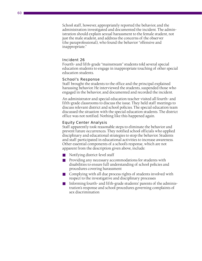School staff, however, appropriately reported the behavior, and the administration investigated and documented the incident. The administration should explain sexual harassment to the female student, not just the male student, and address the concerns of the observer (the paraprofessional), who found the behavior "offensive and inappropriate."

# Incident 26

Fourth- and fifth-grade "mainstream" students told several special education students to engage in inappropriate touching of other special education students.

# School's Response

Staff brought the students to the office and the principal explained harassing behavior. He interviewed the students, suspended those who engaged in the behavior, and documented and recorded the incident.

An administrator and special education teacher visited all fourth- and fifth-grade classrooms to discuss the issue. They held staff meetings to discuss relevant district and school policies. The special education team discussed the situation with the special education students. The district office was not notified. Nothing like this happened again.

# Equity Center Analysis

Staff apparently took reasonable steps to eliminate the behavior and prevent future occurrences. They notified school officials who applied disciplinary and educational strategies to stop the behavior. Students and staff participated in educational activities to increase awareness. Other essential components of a school's response, which are not apparent from the description given above, include:

- Notifying district-level staff
- Providing any necessary accommodations for students with disabilities to ensure full understanding of school policies and procedures covering harassment
- Complying with all due process rights of students involved with respect to the investigative and disciplinary processes
- Informing fourth- and fifth-grade students' parents of the administration's response and school procedures governing complaints of sex discrimination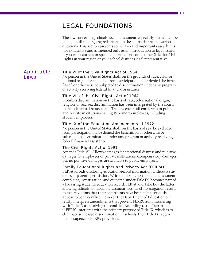# LEGAL FOUNDATIONS

The law concerning school-based harassment, especially sexual harassment, is still undergoing refinement as the courts determine various questions. This section presents some laws and important cases, but is not exhaustive and is intended only as an introduction to legal issues. If you want current or specific information, contact the Office for Civil Rights in your region or your school district's legal representative.

# Applicable Laws

# Title VI of the Civil Rights Act of 1964

No person in the United States shall, on the grounds of race, color, or national origin, be excluded from participation in, be denied the benefits of, or otherwise be subjected to discrimination under any program or activity receiving federal financial assistance.

# Title VII of the Civil Rights Act of 1964

Prohibits discrimination on the basis of race, color, national origin, religion, or sex. Sex discrimination has been interpreted by the courts to include sexual harassment. The law covers all employees in public and private institutions having 15 or more employees, including student employees.

# Title IX of the Education Amendments of 1972

No person in the United States shall, on the basis of sex, be excluded from participation in, be denied the benefits of, or otherwise be subjected to discrimination under any program or activity receiving federal financial assistance.

# The Civil Rights Act of 1991

Amends Title VII. Allows damages for emotional distress and punitive damages for employees of private institutions. Compensatory damages, but no punitive damages, are available to public employees.

# Family Educational Rights and Privacy Act (FERPA)

FERPA forbids disclosing education-record information without a student's or parent's permission. Written information about a harassment complaint, investigation, and outcome, under Title IX, becomes part of a harassing student's education record. FERPA and Title IX—the latter allowing schools to inform harassment victims of investigation results to assure victims that their complaints have been taken seriously appear to be in conflict. However, the Department of Education currently interprets amendments that prevent FERPA from interfering with Title IX as resolving the conflict. According to the Department, if FERPA interferes with the primary purpose of Title IX, which is to eliminate sex-based discrimination in schools, then Title IX requirements supersede FERPA provisions.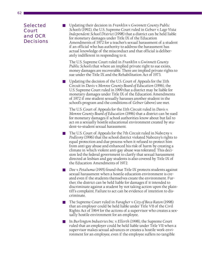# **Selected Court** and OCR **Decisions**

■ Updating their decision in *Franklin v. Gwinnett County Public Schools* (1992), the U.S. Supreme Court ruled in *Gebser v. Lago Vista Independent School District* (1998) that a district can be held liable for monetary damages under Title IX of the Education Amendments of 1972 for a teacher's sexual harassment of a student if an official who has authority to address the harassment has actual knowledge of the misconduct and that official is deliberately indifferent in responding to it.

The U.S. Supreme Court ruled in *Franklin v. Gwinnett County Public Schools* that where an implied private right to sue exists, money damages are recoverable. There are implied private rights to sue under the Title IX and the Rehabilitation Act of 1973.

Updating the decision of the U.S. Court of Appeals for the 11th Circuit in *Davis v. Monroe County Board of Education* (1996), the U.S. Supreme Court ruled in 1999 that a district may be liable for monetary damages under Title IX of the Education Amendments of 1972 if one student sexually harasses another student in the school's program and the conditions of *Gebser* (above) are met.

The U.S. Court of Appeals for the 11th Circuit ruled in *Davis v. Monroe County Board of Education* (1996) that a district can be sued for monetary damages if school authorities know about but fail to act on a sexually hostile educational environment created by student-to-student sexual harassment.

- The U.S. Court of Appeals for the 7th Circuit ruled in *Nabozny v. Podlesny* (1996) that the school district violated Nabozny's rights to equal protection and due process when it refused to protect him from anti-gay abuse and enhanced his risk of harm by creating a climate in which violent anti-gay abuse was tolerated. This decision led the federal government to clarify that sexual harassment directed at lesbian and gay students is also covered by Title IX of the Education Amendments of 1972.
- *Doe v. Petaluma* (1995) found that Title IX protects students against sexual harassment when a hostile education environment is created even if the students themselves create the environment. Further, the district can be held liable for damages if it intended to discriminate against a student by not taking action upon the plaintiff's complaint. Failure to act can be evidence of intention to discriminate.
- The Supreme Court ruled in *Faragher v. City of Boca Raton* (1998) that an employer could be held liable under Title VII of the Civil Rights Act of 1964 for the actions of a supervisor who creates a sexually hostile environment for an employee.
- In *Burlington Industries Inc. v. Ellerth* (1998), the Supreme Court ruled that an employer could be held liable under Title VII when a supervisor makes sexual advances or creates a hostile work environment for an employee, even if the employee suffers no tangible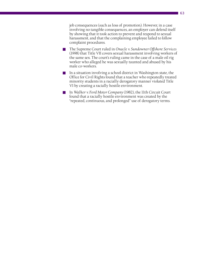job consequences (such as loss of promotion). However, in a case involving no tangible consequences, an employer can defend itself by showing that it took action to prevent and respond to sexual harassment, and that the complaining employee failed to follow complaint procedures.

- The Supreme Court ruled in *Onacle v. Sundowner Offshore Services* (1998) that Title VII covers sexual harassment involving workers of the same sex. The court's ruling came in the case of a male oil rig worker who alleged he was sexually taunted and abused by his male co-workers.
- In a situation involving a school district in Washington state, the Office for Civil Rights found that a teacher who repeatedly treated minority students in a racially derogatory manner violated Title VI by creating a racially hostile environment.
- In *Walker v. Ford Motor Company* (1982), the 11th Circuit Court found that a racially hostile environment was created by the "repeated, continuous, and prolonged" use of derogatory terms.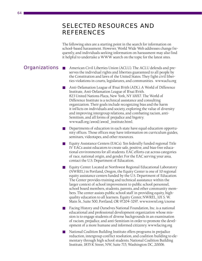# SELECTED RESOURCES AND REFERENCES

The following sites are a starting point in the search for information on school-based harassment. However, World Wide Web addresses change frequently, and individuals seeking information on harassment may also find it helpful to undertake a WWW search on the topic for the latest sites.

#### American Civil Liberties Union (ACLU). The ACLU defends and preserves the individual rights and liberties guaranteed to all people by the Constitution and laws of the United States. They fight civil liberties violations in courts, legislatures, and communities. [www.aclu.org](http://www.aclu.org/) **Organizations**

- Anti-Defamation League of B'nai B'rith (ADL). A World of Difference Institute, Anti-Defamation League of B'nai B'rith. 823 United Nations Plaza, New York, NY 10017. The World of Difference Institute is a technical assistance and consulting organization. Their goals include recognizing bias and the harm it inflicts on individuals and society, exploring the value of diversity and improving intergroup relations, and combating racism, anti-Semitism, and all forms of prejudice and bigotry. [www.adl.org/awod/awod\\_institute.html.](http://www.adl.org/awod/awod_institute.asp)
- Departments of education in each state have equal education opportunity offices. Those offices may have information on curriculum guides, seminars, videotapes, and other resources.
- Equity Assistance Centers (EACs). Ten federally funded regional Title IV EACs assist educators to create safe, positive, and bias-free educational environments for all students. EAC efforts cut across categories of race, national origin, and gender. For the EAC serving your area, contact the U.S. Department of Education.
- Equity Center. Located at Northwest Regional Educational Laboratory (NWREL) in Portland, Oregon, the Equity Center is one of 10 regional equity assistance centers funded by the U.S. Department of Education. The Center provides training and technical assistance within the larger context of school improvement to public school personnel, school board members, students, parents, and other community members. The center assists public school staff in providing equity, highquality education to all learners. Equity Center, NWREL, 101 S. W. Main St., Suite 500, Portland, OR 97204-329[7. www.nwrel.org/cnorse](http://www.nwrel.org/cnorse/)
- Facing History and Ourselves National Foundation, Inc. is a national educational and professional development organization whose mission is to engage students of diverse backgrounds in an examination of racism, prejudice, and anti-Semitism in order to promote the development of a more humane and informed citizenry. [www.facing.org](http://www.facing.org/)
- National Coalition Building Institute offers programs in prejudice reduction, intergroup conflict resolution, and coalition building to elementary through high school students. National Coalition Building Institute, 1835 K Street, NW, Suite 715, Washington DC, 20006.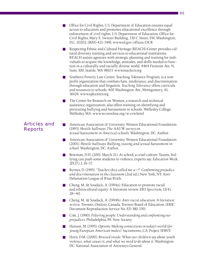■ Respecting Ethnic and Cultural Heritage (REACH) Center provides cultural diversity training and services to educational institutions. REACH assists agencies with strategic planning and training for individuals to acquire the knowledge, attitudes, and skills needed to function in a culturally and racially diverse world. 4464 Fremont Ave. N, Suite 300, Seattle, WA 98103[. www.reachctr.org](http://www.reachctr.org/)

■ Southern Poverty Law Center, Teaching Tolerance Program, is a nonprofit organization that combats hate, intolerance, and discrimination through education and litigation. *Teaching Tolerance* offers curricula and resources to schools. 400 Washington Ave., Montgomery, AL 3610[4. www.splcenter.org](http://www.splcenter.org/)

■ The Center for Research on Women, a research and technical assistance organization, also offers training on identifying and preventing bullying and harassment in schools. Wellesley College: Wellesley, MA[. www.wcwonline.org/w-crw.html](http://www.wcwonline.org/w-crw.html)

# Articles and Reports

- American Association of University Women Educational Foundation. (1993). *Hostile hallways: The AAUW survey on sexual harassment in America's schools.* Washington, DC: Author.
	- American Association of University Women Educational Foundation. (2001). *Hostile hallways: Bullying, teasing, and sexual harassment in school.* Washington, DC: Author.
	- Bowman, D.H. (2001, March 21). At school, a cruel culture: Taunts, bullying can push some students to violence, experts say. *Education Week, <sup>20</sup>*(27), 1, 16-17.
	- Byrnes, D. (1995). *"Teacher, they called me a—!": Confronting prejudice and discrimination in the classroom* (2nd ed.). New York, NY: Anti-Defamation League of B'nai B'rith.
	- Cheng. M., & Soudack, A. (1994a). Education to promote racial and ethnocultural equity: A literature review. *ERS Spectrum, 12*(4), 28-40.
	- Cheng. M., & Soudack, A. (1994b). *Anti-racist education: A literature review*. Toronto, Ontario, Canada: Toronto Board of Education. (ERIC Document Reproduction Service No. ED 380 339)
	- Cole, J. (1990). *Filtering people: Understanding and confronting our prejudices*. Philadelphia, PA: New Society.
	- Hanson, M. (1995). *Options: Making connections in today's world (for young European American males)*. Sacramento, CA: Project SERVE.
	- Horn, D.M. (2000). *Bruised inside: What our children say about youth violence, what causes it, and what we need to do about it.* Washington DC: National Association of Attorneys General.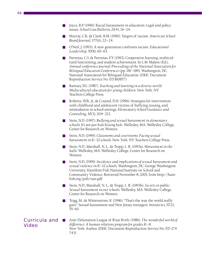- Joyce, R.P. (1990). Racial harassment in education: Legal and policy issues. *School Law Bulletin, 21*(4), 16-24.
- Murray, C.B., & Clark, R.M. (1990). Targets of racism. *American School Board Journal*, 177(6), 22-24.
- O'Neil, J. (1993). A new generation confronts racism. *Educational Leadership, 50*(8), 60-63.
- Parrenas, C.S. & Parrenas, F.Y. (1993). Cooperative learning, multicultural functioning, and student achievement. In L.M. Malave (Ed.), *Annual conference journal: Proceedings of the National Association for Bilingual Education Conferences* (pp. 181-189). Washington, DC: National Association for Bilingual Education. (ERIC Document Reproduction Service No. ED360877)
- Ramsey, P.G. (1987). *Teaching and learning in a diverse world: Multicultural education for young children*. New York, NY: Teachers College Press.
- Roberts, W.B., Jr., & Coursol, D.H. (1996). Strategies for intervention with childhood and adolescent victims of bullying, teasing, and intimidation in school settings. *Elementary School Guidance and Counseling, 30*(3), 204-212.
- Stein, N.D. (1997). *Bullying and sexual harassment in elementary schools: It's not just kids kissing kids*. Wellesley, MA: Wellesley College, Center for Research on Women.
- Stein, N.D. (1999). *Classrooms and courtrooms: Facing sexual harassment in K*-*12 schools*. New York, NY: Teachers College Press.
- Stein, N.D., Marshall, N. L., & Tropp, L. R. (1993a). *Harassment in the halls*. Wellesley, MA: Wellesley College, Center for Research on Women.
- Stein, N.D. (1999). *Incidence and implications of sexual harassment and sexual violence in K*-*12 schools.* Washington, DC: George Washington University, Hamilton Fish National Institute on School and [Community Violence. Retrieved November 8, 2001, from http://ham](http://hamfish.org/pub/nan.pdf)fish.org/pub/nan.pdf
- Stein, N.D., Marshall, N. L., & Tropp, L. R. (1993b). *Secrets in public: Sexual harassment in our schools*. Wellesley, MA: Wellesley College, Center for Research on Women.
- Trigg, M., & Wittenstrom, K. (1996). "That's the way the world really goes": Sexual harassment and New Jersey teenagers. *Initiatives, 57*(2), 55-65.

# Curricula and Video

■ Anti-Defamation League of B'nai B'rith. (1986). *The wonderful world of difference: A human relations program for grades K*-*<sup>8</sup>*. New York: Author. (ERIC Document Reproduction Service No. ED 274 743)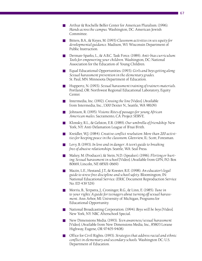- Arthur & Rochelle Belfer Center for American Pluralism. (1996). *Hands across the campus*. Washington, DC: American Jewish Committee.
- Bitters, B.A., & Keyes, M. (1993) *Classroom activities in sex equity for developmental guidance.* Madison, WI: Wisconsin Department of Public Instruction.
- Derman-Sparks, L., & A.B.C. Task Force. (1989). *Anti-bias curriculum: Tools for empowering your children*. Washington, DC: National Association for the Education of Young Children.
- Equal Educational Opportunities. (1993). *Girls and boys getting along: Sexual harassment prevention in the elementary grades*. St. Paul, MN: Minnesota Department of Education.
- Huppertz, N. (1993). *Sexual harassment training of trainers materials.* Portland, OR: Northwest Regional Educational Laboratory, Equity Center.
- Intermedia, Inc. (1992). *Crossing the line* [Video]. (Available from Intermedia, Inc., 1300 Dexter N., Seattle, WA 98109)
- Johnson, R. (1995). *Visions: Rites of passages for young African American males*. Sacramento, CA: Project SERVE.
- Klonsky, R.L., & Gelston, E.R. (1989). *Our umbrella of friendship.* New York, NY: Anti-Defamation League of B'nai B'rith.
- Kreidler, W.J. (1984). *Creative conflict resolution: More than 200 activities for keeping peace in the classroom*. Glenview, IL: Scott, Foresman.
- Levy, B. (1993). *In love and in danger: A teen's guide to breaking free of abusive relationships*. Seattle, WA: Seal Press.
- Makey, M. (Producer), & Stein, N.D. (Speaker). (1996). *Flirting or hurting: Sexual harassment in school* [Video]. (Available from GPN, P.O. Box 80669, Lincoln, NE 68501-0669)
- Mazin, L.E., Hestand, J.T., & Koester, R.E. (1998). *An educator's legal guide to stress-free discipline and school safety*. Bloomington, IN: National Educational Service. (ERIC Document Reproduction Service No. ED 439 529)
- Morris, B., Terpstra, J., Croninger, R.G., & Linn, E. (1985). *Tune in to your rights: A guide for teenagers about turning off sexual harassment*. Ann Arbor, MI: University of Michigan, Programs for Educational Opportunity.
- National Broadcasting Corporation. (1994). *Boys will be boys* [Video]. New York, NY: NBC Afterschool Special.
- New Dimensions Media. (1993). *Teen awareness/sexual harassment* [Video]. (Available from New Dimensions Media, Inc., 85803 Lorane Highway, Eugene, OR 97405-9408)
- Office for Civil Rights. (1993). *Strategies that address racial and ethnic conflict in elementary and secondary schools*. Washington DC: U.S. Department of Education.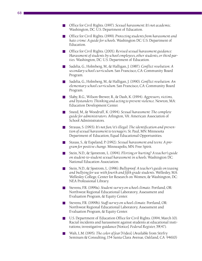- Office for Civil Rights. (1997). *Sexual harassment: It's not academic.* Washington, DC: U.S. Department of Education.
- Office for Civil Rights. (1999). *Protecting students from harassment and hate crime: A guide for schools*. Washington DC: U.S. Department of Education.
- Office for Civil Rights. (2001). *Revised sexual harassment guidance: Harassment of students by school employees, other students, or third parties*. Washington, DC: U.S. Department of Education.
- Sadelia, G., Holmberg, M., & Halligan, J. (1987). *Conflict resolution: A secondary school curriculum*. San Francisco, CA: Community Board Program.
- Sadelia, G., Holmberg, M., & Halligan, J. (1990). *Conflict resolution: An elementary school curriculum*. San Francisco, CA: Community Board Program.
- Slaby, R.G., Wilson-Brewer, R., & Dash, K. (1994). *Aggressors, victims, and bystanders: Thinking and acting to prevent violence.* Newton, MA: Education Development Center.
- Sneed, M., & Woodruff, K. (1994). *Sexual harassment: The complete guide for administrators*. Arlington, VA: American Association of School Administrators.
- Strauss, S. (1993). It's not fun/it's illegal: The identification and preven*tion of sexual harassment to teenagers*. St. Paul, MN: Minnesota Department of Education, Equal Educational Opportunities.
- Stauss, S., & Espeland, P. (1992). *Sexual harassment and teens: A program for positive change*. Minneapolis, MN: Free Spirit.
- Stein, N.D., & Sjorstrom, L. (1994). *Flirting or hurting? A teacher's guide on student-to-student sexual harassment in schools*. Washington DC: National Education Association.
- Stein, N.D., & Sjostrom, L. (1996). *Bullyproof: A teacher's guide on teasing and bullying for use with fourth and fifth grade students*. Wellesley, MA: Wellesley College, Center for Research on Women, & Washington, DC: NEA Professional Library.
- Stevens, F.R. (1999a). *Student survey on school climate*. Portland, OR: Northwest Regional Educational Laboratory, Assessment and Evaluation Program, & Equity Center.
- Stevens, F.R. (1999b). S*taff survey on school climate.* Portland, OR: Northwest Regional Educational Laboratory, Assessment and Evaluation Program, & Equity Center.
- U.S. Department of Education Office for Civil Rights. (1994, March 10). Racial incidents and harassment against students at educational institutions; investigative guidance [Notice]. *Federal Register, 59*(47).
- Wah, L.M. (1995). *The color of fear* [Video]. (Available from Stirfry Seminars & Consulting, 154 Santa Clara Avenue, Oakland, CA 94610)